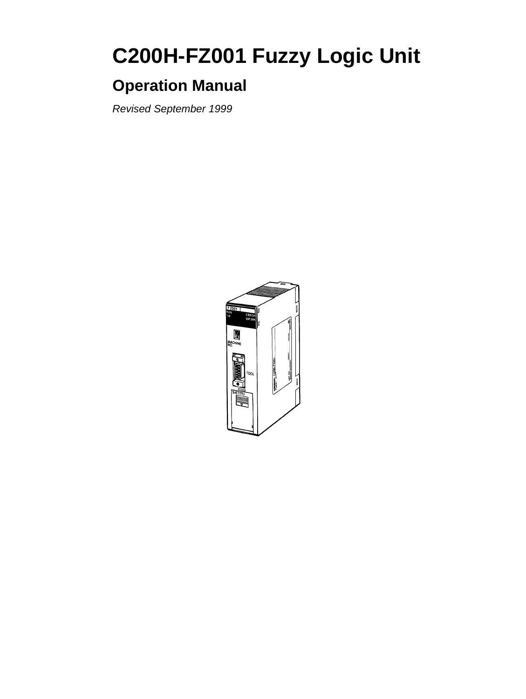# **C200H-FZ001 Fuzzy Logic Unit**

# **Operation Manual**

Revised September 1999

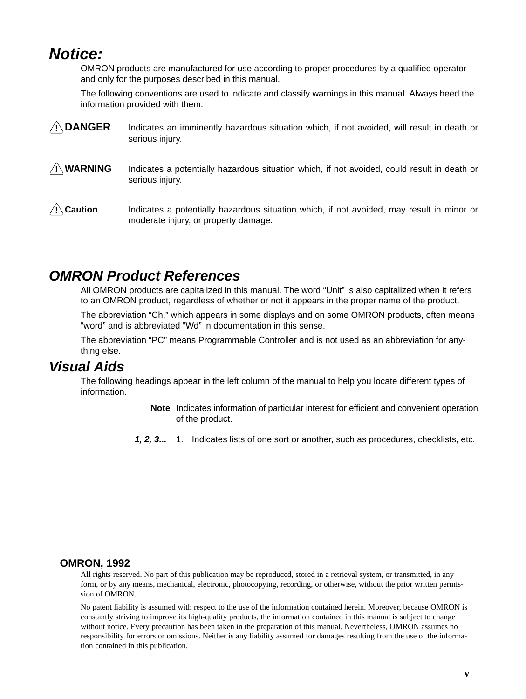## **Notice:**

OMRON products are manufactured for use according to proper procedures by a qualified operator and only for the purposes described in this manual.

The following conventions are used to indicate and classify warnings in this manual. Always heed the information provided with them.

- **/!\DANGER DANGER** Indicates an imminently hazardous situation which, if not avoided, will result in death or serious injury.
- **!** Indicates a potentially hazardous situation which, if not avoided, could result in death or serious injury.

**/!**∖Caution **Caution** Indicates a potentially hazardous situation which, if not avoided, may result in minor or moderate injury, or property damage.

## **OMRON Product References**

All OMRON products are capitalized in this manual. The word "Unit" is also capitalized when it refers to an OMRON product, regardless of whether or not it appears in the proper name of the product.

The abbreviation "Ch," which appears in some displays and on some OMRON products, often means "word" and is abbreviated "Wd" in documentation in this sense.

The abbreviation "PC" means Programmable Controller and is not used as an abbreviation for anything else.

## **Visual Aids**

The following headings appear in the left column of the manual to help you locate different types of information.

- **Note** Indicates information of particular interest for efficient and convenient operation of the product.
- **1, 2, 3...** 1. Indicates lists of one sort or another, such as procedures, checklists, etc.

#### **OMRON, 1992**

All rights reserved. No part of this publication may be reproduced, stored in a retrieval system, or transmitted, in any form, or by any means, mechanical, electronic, photocopying, recording, or otherwise, without the prior written permission of OMRON.

No patent liability is assumed with respect to the use of the information contained herein. Moreover, because OMRON is constantly striving to improve its high-quality products, the information contained in this manual is subject to change without notice. Every precaution has been taken in the preparation of this manual. Nevertheless, OMRON assumes no responsibility for errors or omissions. Neither is any liability assumed for damages resulting from the use of the information contained in this publication.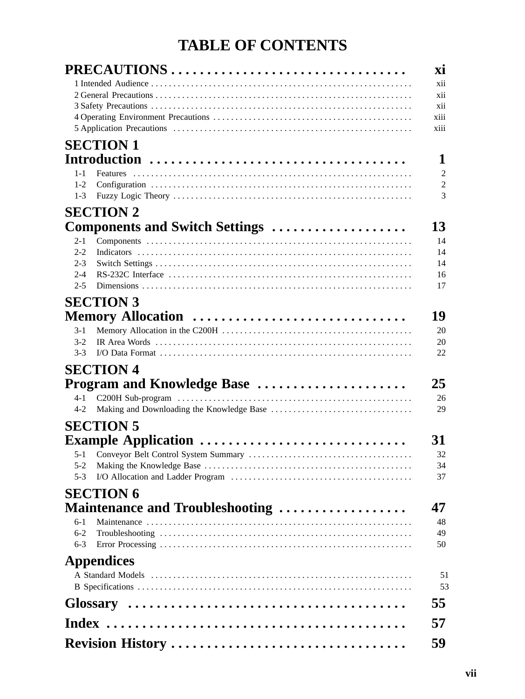# **TABLE OF CONTENTS**

| PRECAUTIONS                                  | хi                       |
|----------------------------------------------|--------------------------|
|                                              | xii<br>xii<br>xii        |
|                                              | xiii<br>xiii             |
| <b>SECTION 1</b>                             |                          |
|                                              | 1                        |
| $1 - 1$<br><b>Features</b><br>$1-2$<br>$1-3$ | 2<br>$\overline{2}$<br>3 |
| <b>SECTION 2</b>                             |                          |
| Components and Switch Settings               | 13                       |
| 2-1                                          | 14                       |
| $2 - 2$<br>$2 - 3$                           | 14<br>14                 |
| $2 - 4$                                      | 16                       |
| $2 - 5$                                      | 17                       |
| <b>SECTION 3</b>                             |                          |
| Memory Allocation                            | 19                       |
| 3-1                                          | 20                       |
| $3-2$<br>$3-3$                               | 20<br>22                 |
| <b>SECTION 4</b>                             |                          |
| Program and Knowledge Base                   | 25                       |
| 4-1                                          | 26                       |
| 4-2                                          | 29                       |
| <b>SECTION 5</b>                             |                          |
| Example Application                          | 31                       |
|                                              | 32                       |
| 5-2                                          | 34                       |
| $5 - 3$                                      | 37                       |
| <b>SECTION 6</b>                             |                          |
| Maintenance and Troubleshooting              | 47                       |
| 6-1<br>$6 - 2$                               | 48<br>49                 |
| $6 - 3$                                      | 50                       |
| <b>Appendices</b>                            |                          |
|                                              | 51<br>53                 |
|                                              | 55                       |
|                                              | 57                       |
| Revision History                             | 59                       |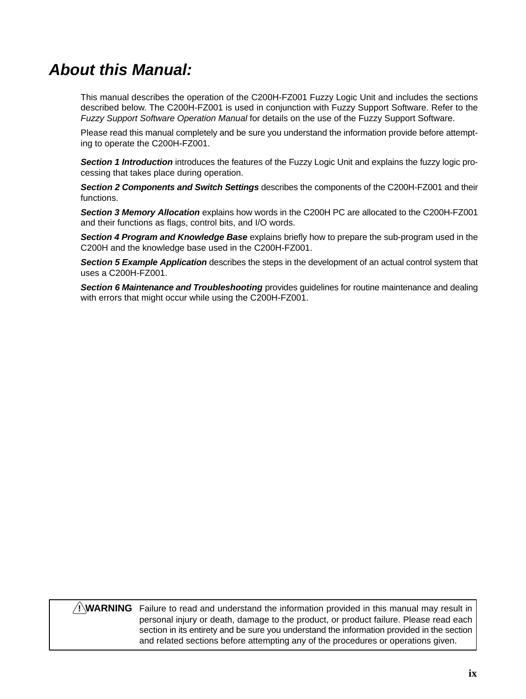# **About this Manual:**

This manual describes the operation of the C200H-FZ001 Fuzzy Logic Unit and includes the sections described below. The C200H-FZ001 is used in conjunction with Fuzzy Support Software. Refer to the Fuzzy Support Software Operation Manual for details on the use of the Fuzzy Support Software.

Please read this manual completely and be sure you understand the information provide before attempting to operate the C200H-FZ001.

**Section 1 Introduction** introduces the features of the Fuzzy Logic Unit and explains the fuzzy logic processing that takes place during operation.

**Section 2 Components and Switch Settings** describes the components of the C200H-FZ001 and their functions.

**Section 3 Memory Allocation** explains how words in the C200H PC are allocated to the C200H-FZ001 and their functions as flags, control bits, and I/O words.

**Section 4 Program and Knowledge Base** explains briefly how to prepare the sub-program used in the C200H and the knowledge base used in the C200H-FZ001.

**Section 5 Example Application** describes the steps in the development of an actual control system that uses a C200H-FZ001.

**Section 6 Maintenance and Troubleshooting** provides guidelines for routine maintenance and dealing with errors that might occur while using the C200H-FZ001.

#### **WARNING** Failure to read and understand the information provided in this manual may result in **!**personal injury or death, damage to the product, or product failure. Please read each section in its entirety and be sure you understand the information provided in the section and related sections before attempting any of the procedures or operations given.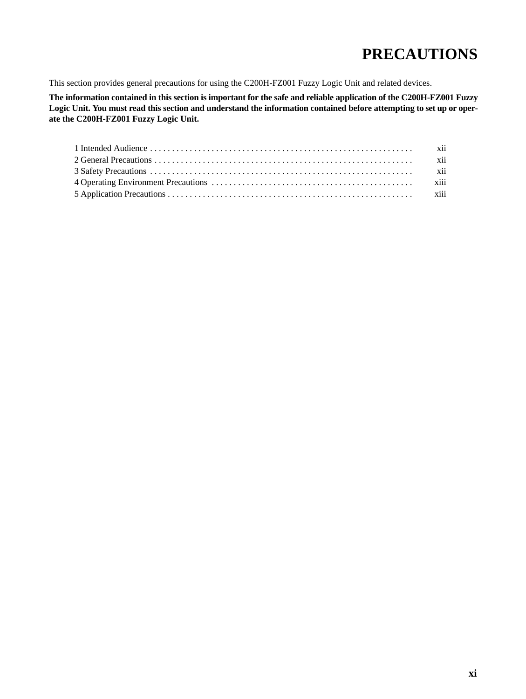# **PRECAUTIONS**

This section provides general precautions for using the C200H-FZ001 Fuzzy Logic Unit and related devices.

**The information contained in this section is important for the safe and reliable application of the C200H-FZ001 Fuzzy Logic Unit. You must read this section and understand the information contained before attempting to set up or operate the C200H-FZ001 Fuzzy Logic Unit.**

| xii  |
|------|
| xii  |
| xiii |
|      |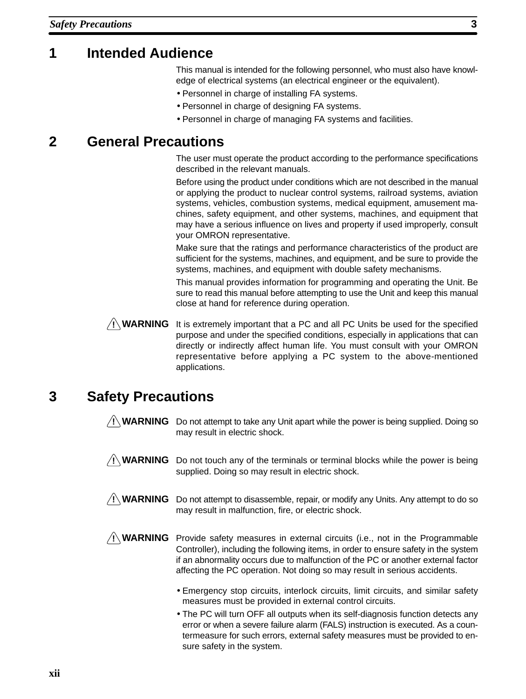## **1 Intended Audience**

This manual is intended for the following personnel, who must also have knowledge of electrical systems (an electrical engineer or the equivalent).

- Personnel in charge of installing FA systems.
- Personnel in charge of designing FA systems.
- Personnel in charge of managing FA systems and facilities.

## **2 General Precautions**

The user must operate the product according to the performance specifications described in the relevant manuals.

Before using the product under conditions which are not described in the manual or applying the product to nuclear control systems, railroad systems, aviation systems, vehicles, combustion systems, medical equipment, amusement machines, safety equipment, and other systems, machines, and equipment that may have a serious influence on lives and property if used improperly, consult your OMRON representative.

Make sure that the ratings and performance characteristics of the product are sufficient for the systems, machines, and equipment, and be sure to provide the systems, machines, and equipment with double safety mechanisms.

This manual provides information for programming and operating the Unit. Be sure to read this manual before attempting to use the Unit and keep this manual close at hand for reference during operation.

**! WARNING** It is extremely important that a PC and all PC Units be used for the specified purpose and under the specified conditions, especially in applications that can directly or indirectly affect human life. You must consult with your OMRON representative before applying a PC system to the above-mentioned applications.

## **3 Safety Precautions**

- **! WARNING** Do not attempt to take any Unit apart while the power is being supplied. Doing so may result in electric shock.
- **! WARNING** Do not touch any of the terminals or terminal blocks while the power is being supplied. Doing so may result in electric shock.
- **! WARNING** Do not attempt to disassemble, repair, or modify any Units. Any attempt to do so may result in malfunction, fire, or electric shock.
- **! WARNING** Provide safety measures in external circuits (i.e., not in the Programmable Controller), including the following items, in order to ensure safety in the system if an abnormality occurs due to malfunction of the PC or another external factor affecting the PC operation. Not doing so may result in serious accidents.
	- Emergency stop circuits, interlock circuits, limit circuits, and similar safety measures must be provided in external control circuits.
	- The PC will turn OFF all outputs when its self-diagnosis function detects any error or when a severe failure alarm (FALS) instruction is executed. As a countermeasure for such errors, external safety measures must be provided to ensure safety in the system.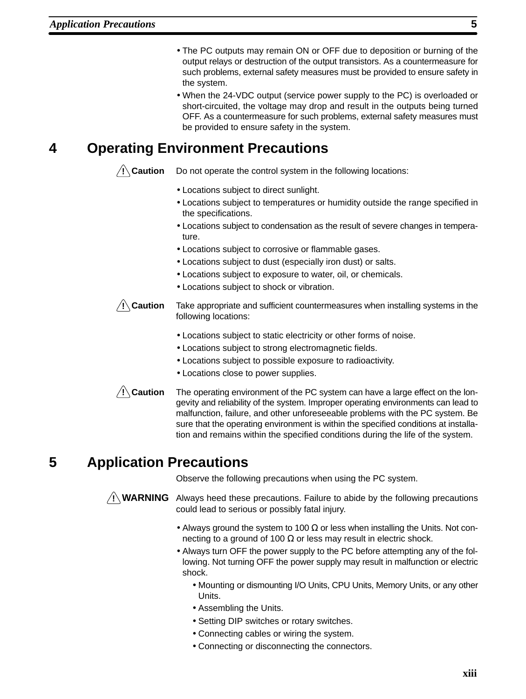- The PC outputs may remain ON or OFF due to deposition or burning of the output relays or destruction of the output transistors. As a countermeasure for such problems, external safety measures must be provided to ensure safety in the system.
- When the 24-VDC output (service power supply to the PC) is overloaded or short-circuited, the voltage may drop and result in the outputs being turned OFF. As a countermeasure for such problems, external safety measures must be provided to ensure safety in the system.

## **4 Operating Environment Precautions**

**/!**∖Caution

- Do not operate the control system in the following locations:
	- Locations subject to direct sunlight.
	- Locations subject to temperatures or humidity outside the range specified in the specifications.
	- Locations subject to condensation as the result of severe changes in temperature.
	- Locations subject to corrosive or flammable gases.
	- Locations subject to dust (especially iron dust) or salts.
	- Locations subject to exposure to water, oil, or chemicals.
	- Locations subject to shock or vibration.

**∕!∖Caution** Take appropriate and sufficient countermeasures when installing systems in the following locations:

- Locations subject to static electricity or other forms of noise.
- Locations subject to strong electromagnetic fields.
- Locations subject to possible exposure to radioactivity.
- Locations close to power supplies.
- **/!∖Caution**

The operating environment of the PC system can have a large effect on the longevity and reliability of the system. Improper operating environments can lead to malfunction, failure, and other unforeseeable problems with the PC system. Be sure that the operating environment is within the specified conditions at installation and remains within the specified conditions during the life of the system.

## **5 Application Precautions**

Observe the following precautions when using the PC system.

**! WARNING** Always heed these precautions. Failure to abide by the following precautions could lead to serious or possibly fatal injury.

- Always ground the system to 100  $\Omega$  or less when installing the Units. Not connecting to a ground of 100  $\Omega$  or less may result in electric shock.
- Always turn OFF the power supply to the PC before attempting any of the following. Not turning OFF the power supply may result in malfunction or electric shock.
	- Mounting or dismounting I/O Units, CPU Units, Memory Units, or any other Units.
	- Assembling the Units.
	- Setting DIP switches or rotary switches.
	- Connecting cables or wiring the system.
	- Connecting or disconnecting the connectors.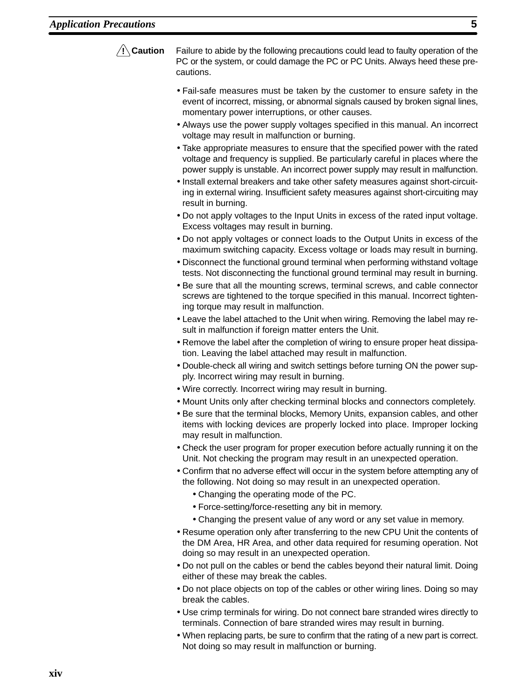

Failure to abide by the following precautions could lead to faulty operation of the PC or the system, or could damage the PC or PC Units. Always heed these precautions.

- Fail-safe measures must be taken by the customer to ensure safety in the event of incorrect, missing, or abnormal signals caused by broken signal lines, momentary power interruptions, or other causes.
- Always use the power supply voltages specified in this manual. An incorrect voltage may result in malfunction or burning.
- Take appropriate measures to ensure that the specified power with the rated voltage and frequency is supplied. Be particularly careful in places where the power supply is unstable. An incorrect power supply may result in malfunction.
- Install external breakers and take other safety measures against short-circuiting in external wiring. Insufficient safety measures against short-circuiting may result in burning.
- Do not apply voltages to the Input Units in excess of the rated input voltage. Excess voltages may result in burning.
- Do not apply voltages or connect loads to the Output Units in excess of the maximum switching capacity. Excess voltage or loads may result in burning.
- Disconnect the functional ground terminal when performing withstand voltage tests. Not disconnecting the functional ground terminal may result in burning.
- Be sure that all the mounting screws, terminal screws, and cable connector screws are tightened to the torque specified in this manual. Incorrect tightening torque may result in malfunction.
- Leave the label attached to the Unit when wiring. Removing the label may result in malfunction if foreign matter enters the Unit.
- Remove the label after the completion of wiring to ensure proper heat dissipation. Leaving the label attached may result in malfunction.
- Double-check all wiring and switch settings before turning ON the power supply. Incorrect wiring may result in burning.
- Wire correctly. Incorrect wiring may result in burning.
- Mount Units only after checking terminal blocks and connectors completely.
- Be sure that the terminal blocks, Memory Units, expansion cables, and other items with locking devices are properly locked into place. Improper locking may result in malfunction.
- Check the user program for proper execution before actually running it on the Unit. Not checking the program may result in an unexpected operation.
- Confirm that no adverse effect will occur in the system before attempting any of the following. Not doing so may result in an unexpected operation.
	- Changing the operating mode of the PC.
	- Force-setting/force-resetting any bit in memory.
	- Changing the present value of any word or any set value in memory.
- Resume operation only after transferring to the new CPU Unit the contents of the DM Area, HR Area, and other data required for resuming operation. Not doing so may result in an unexpected operation.
- Do not pull on the cables or bend the cables beyond their natural limit. Doing either of these may break the cables.
- Do not place objects on top of the cables or other wiring lines. Doing so may break the cables.
- Use crimp terminals for wiring. Do not connect bare stranded wires directly to terminals. Connection of bare stranded wires may result in burning.
- When replacing parts, be sure to confirm that the rating of a new part is correct. Not doing so may result in malfunction or burning.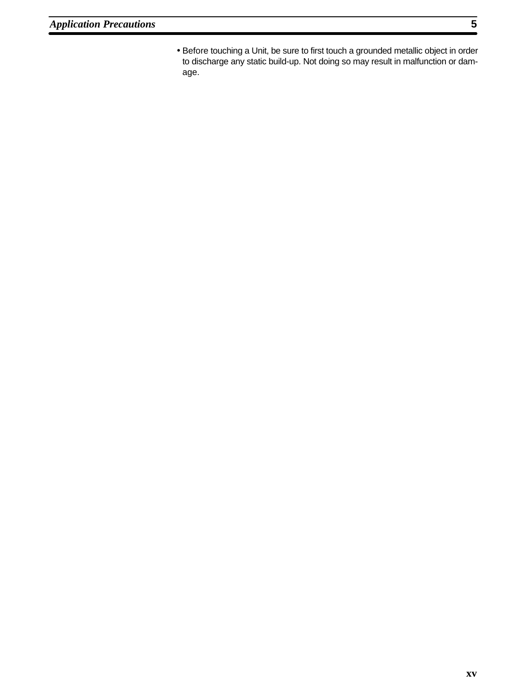• Before touching a Unit, be sure to first touch a grounded metallic object in order to discharge any static build-up. Not doing so may result in malfunction or damage.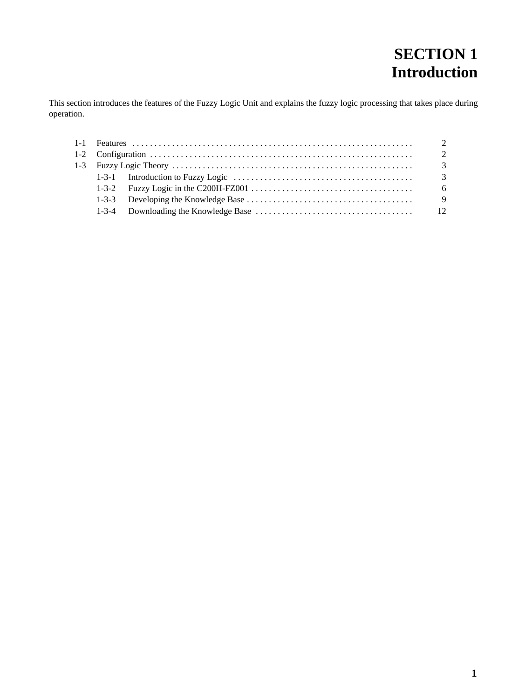# **SECTION 1 Introduction**

This section introduces the features of the Fuzzy Logic Unit and explains the fuzzy logic processing that takes place during operation.

|  | $\overline{2}$ |
|--|----------------|
|  | 2              |
|  | $\mathcal{E}$  |
|  | $\overline{3}$ |
|  | - 6            |
|  |                |
|  |                |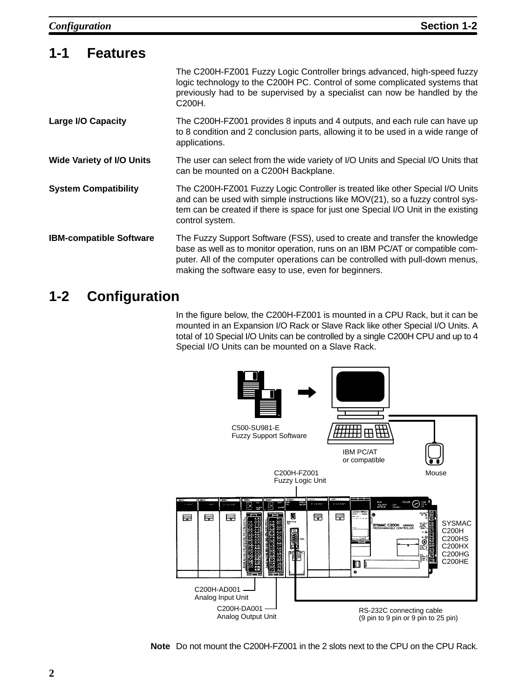## **1-1 Features**

|                                  | The C200H-FZ001 Fuzzy Logic Controller brings advanced, high-speed fuzzy<br>logic technology to the C200H PC. Control of some complicated systems that<br>previously had to be supervised by a specialist can now be handled by the<br>C200H.                                                         |
|----------------------------------|-------------------------------------------------------------------------------------------------------------------------------------------------------------------------------------------------------------------------------------------------------------------------------------------------------|
| <b>Large I/O Capacity</b>        | The C200H-FZ001 provides 8 inputs and 4 outputs, and each rule can have up<br>to 8 condition and 2 conclusion parts, allowing it to be used in a wide range of<br>applications.                                                                                                                       |
| <b>Wide Variety of I/O Units</b> | The user can select from the wide variety of I/O Units and Special I/O Units that<br>can be mounted on a C200H Backplane.                                                                                                                                                                             |
| <b>System Compatibility</b>      | The C200H-FZ001 Fuzzy Logic Controller is treated like other Special I/O Units<br>and can be used with simple instructions like MOV(21), so a fuzzy control sys-<br>tem can be created if there is space for just one Special I/O Unit in the existing<br>control system.                             |
| <b>IBM-compatible Software</b>   | The Fuzzy Support Software (FSS), used to create and transfer the knowledge<br>base as well as to monitor operation, runs on an IBM PC/AT or compatible com-<br>puter. All of the computer operations can be controlled with pull-down menus,<br>making the software easy to use, even for beginners. |

## **1-2 Configuration**

In the figure below, the C200H-FZ001 is mounted in a CPU Rack, but it can be mounted in an Expansion I/O Rack or Slave Rack like other Special I/O Units. A total of 10 Special I/O Units can be controlled by a single C200H CPU and up to 4 Special I/O Units can be mounted on a Slave Rack.



**Note** Do not mount the C200H-FZ001 in the 2 slots next to the CPU on the CPU Rack.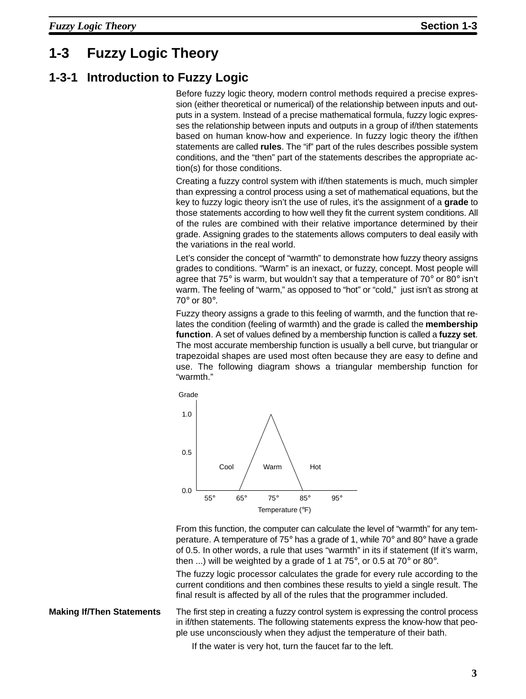## **1-3 Fuzzy Logic Theory**

### **1-3-1 Introduction to Fuzzy Logic**

Before fuzzy logic theory, modern control methods required a precise expression (either theoretical or numerical) of the relationship between inputs and outputs in a system. Instead of a precise mathematical formula, fuzzy logic expresses the relationship between inputs and outputs in a group of if/then statements based on human know-how and experience. In fuzzy logic theory the if/then statements are called **rules**. The "if" part of the rules describes possible system conditions, and the "then" part of the statements describes the appropriate action(s) for those conditions.

Creating a fuzzy control system with if/then statements is much, much simpler than expressing a control process using a set of mathematical equations, but the key to fuzzy logic theory isn't the use of rules, it's the assignment of a **grade** to those statements according to how well they fit the current system conditions. All of the rules are combined with their relative importance determined by their grade. Assigning grades to the statements allows computers to deal easily with the variations in the real world.

Let's consider the concept of "warmth" to demonstrate how fuzzy theory assigns grades to conditions. "Warm" is an inexact, or fuzzy, concept. Most people will agree that  $75^{\circ}$  is warm, but wouldn't say that a temperature of  $70^{\circ}$  or  $80^{\circ}$  isn't warm. The feeling of "warm," as opposed to "hot" or "cold," just isn't as strong at 70° or 80°.

Fuzzy theory assigns a grade to this feeling of warmth, and the function that relates the condition (feeling of warmth) and the grade is called the **membership function**. A set of values defined by a membership function is called a **fuzzy set**. The most accurate membership function is usually a bell curve, but triangular or trapezoidal shapes are used most often because they are easy to define and use. The following diagram shows a triangular membership function for "warmth."



From this function, the computer can calculate the level of "warmth" for any temperature. A temperature of 75° has a grade of 1, while 70° and 80° have a grade of 0.5. In other words, a rule that uses "warmth" in its if statement (If it's warm, then ...) will be weighted by a grade of 1 at 75 $\degree$ , or 0.5 at 70 $\degree$  or 80 $\degree$ .

The fuzzy logic processor calculates the grade for every rule according to the current conditions and then combines these results to yield a single result. The final result is affected by all of the rules that the programmer included.

**Making If/Then Statements** The first step in creating a fuzzy control system is expressing the control process in if/then statements. The following statements express the know-how that people use unconsciously when they adjust the temperature of their bath.

If the water is very hot, turn the faucet far to the left.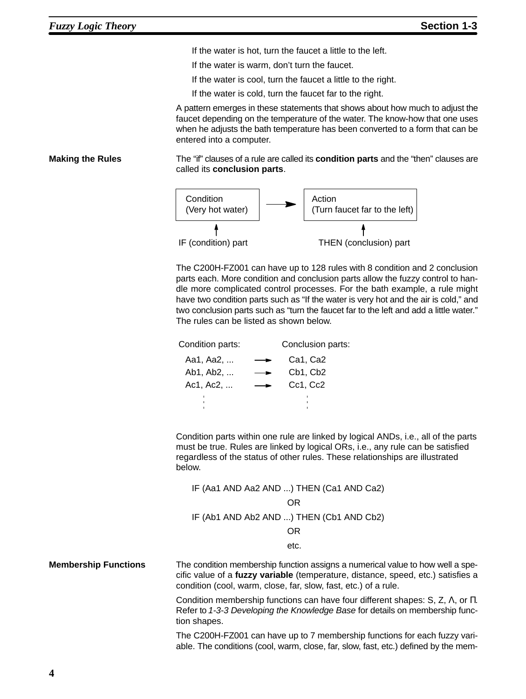If the water is hot, turn the faucet a little to the left.

If the water is warm, don't turn the faucet.

If the water is cool, turn the faucet a little to the right.

If the water is cold, turn the faucet far to the right.

A pattern emerges in these statements that shows about how much to adjust the faucet depending on the temperature of the water. The know-how that one uses when he adjusts the bath temperature has been converted to a form that can be entered into a computer.

**Making the Rules** The "if" clauses of a rule are called its **condition parts** and the "then" clauses are called its **conclusion parts**.



The C200H-FZ001 can have up to 128 rules with 8 condition and 2 conclusion parts each. More condition and conclusion parts allow the fuzzy control to handle more complicated control processes. For the bath example, a rule might have two condition parts such as "If the water is very hot and the air is cold," and two conclusion parts such as "turn the faucet far to the left and add a little water." The rules can be listed as shown below.

| Condition parts: | Conclusion parts: |
|------------------|-------------------|
| Aa1, Aa2,        | Ca1, Ca2          |
| Ab1, Ab2,        | Cb1, Cb2          |
| Ac1, Ac2,        | Cc1, Cc2          |
|                  |                   |
|                  |                   |
|                  |                   |

Condition parts within one rule are linked by logical ANDs, i.e., all of the parts must be true. Rules are linked by logical ORs, i.e., any rule can be satisfied regardless of the status of other rules. These relationships are illustrated below.

IF (Aa1 AND Aa2 AND ...) THEN (Ca1 AND Ca2) OR IF (Ab1 AND Ab2 AND ...) THEN (Cb1 AND Cb2) OR etc.

**Membership Functions** The condition membership function assigns a numerical value to how well a specific value of a **fuzzy variable** (temperature, distance, speed, etc.) satisfies a condition (cool, warm, close, far, slow, fast, etc.) of a rule.

> Condition membership functions can have four different shapes: S, Z, Λ, or Π. Refer to 1-3-3 Developing the Knowledge Base for details on membership function shapes.

> The C200H-FZ001 can have up to 7 membership functions for each fuzzy variable. The conditions (cool, warm, close, far, slow, fast, etc.) defined by the mem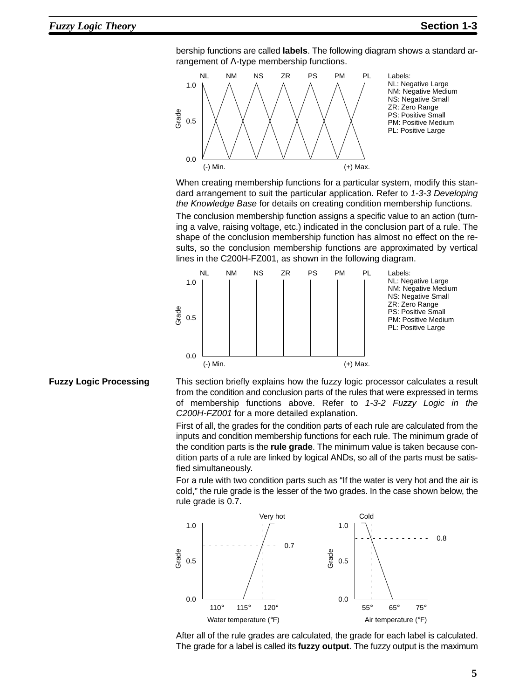bership functions are called **labels**. The following diagram shows a standard arrangement of Λ-type membership functions.



When creating membership functions for a particular system, modify this standard arrangement to suit the particular application. Refer to 1-3-3 Developing the Knowledge Base for details on creating condition membership functions. The conclusion membership function assigns a specific value to an action (turning a valve, raising voltage, etc.) indicated in the conclusion part of a rule. The shape of the conclusion membership function has almost no effect on the results, so the conclusion membership functions are approximated by vertical lines in the C200H-FZ001, as shown in the following diagram.



**Fuzzy Logic Processing** This section briefly explains how the fuzzy logic processor calculates a result from the condition and conclusion parts of the rules that were expressed in terms of membership functions above. Refer to 1-3-2 Fuzzy Logic in the C200H-FZ001 for a more detailed explanation.

> First of all, the grades for the condition parts of each rule are calculated from the inputs and condition membership functions for each rule. The minimum grade of the condition parts is the **rule grade**. The minimum value is taken because condition parts of a rule are linked by logical ANDs, so all of the parts must be satisfied simultaneously.

> For a rule with two condition parts such as "If the water is very hot and the air is cold," the rule grade is the lesser of the two grades. In the case shown below, the rule grade is 0.7.



After all of the rule grades are calculated, the grade for each label is calculated. The grade for a label is called its **fuzzy output**. The fuzzy output is the maximum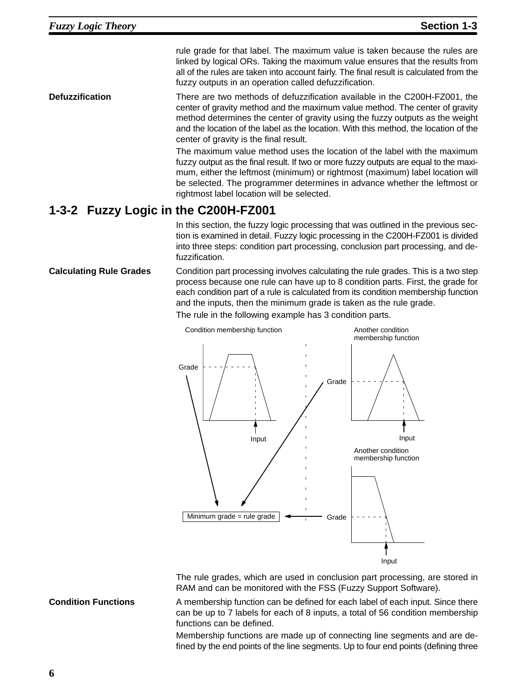rule grade for that label. The maximum value is taken because the rules are linked by logical ORs. Taking the maximum value ensures that the results from all of the rules are taken into account fairly. The final result is calculated from the fuzzy outputs in an operation called defuzzification.

**Defuzzification** There are two methods of defuzzification available in the C200H-FZ001, the center of gravity method and the maximum value method. The center of gravity method determines the center of gravity using the fuzzy outputs as the weight and the location of the label as the location. With this method, the location of the center of gravity is the final result.

> The maximum value method uses the location of the label with the maximum fuzzy output as the final result. If two or more fuzzy outputs are equal to the maximum, either the leftmost (minimum) or rightmost (maximum) label location will be selected. The programmer determines in advance whether the leftmost or rightmost label location will be selected.

### **1-3-2 Fuzzy Logic in the C200H-FZ001**

In this section, the fuzzy logic processing that was outlined in the previous section is examined in detail. Fuzzy logic processing in the C200H-FZ001 is divided into three steps: condition part processing, conclusion part processing, and defuzzification.

#### **Calculating Rule Grades** Condition part processing involves calculating the rule grades. This is a two step

process because one rule can have up to 8 condition parts. First, the grade for each condition part of a rule is calculated from its condition membership function and the inputs, then the minimum grade is taken as the rule grade.



The rule in the following example has 3 condition parts.

The rule grades, which are used in conclusion part processing, are stored in RAM and can be monitored with the FSS (Fuzzy Support Software).

**Condition Functions** A membership function can be defined for each label of each input. Since there can be up to 7 labels for each of 8 inputs, a total of 56 condition membership functions can be defined.

> Membership functions are made up of connecting line segments and are defined by the end points of the line segments. Up to four end points (defining three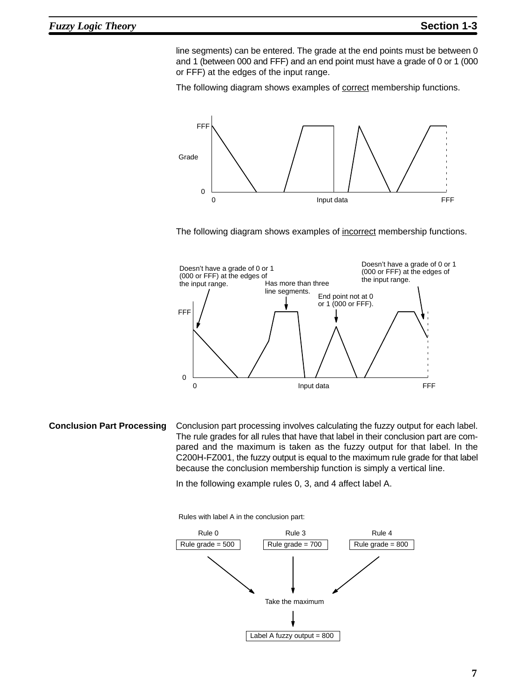line segments) can be entered. The grade at the end points must be between 0 and 1 (between 000 and FFF) and an end point must have a grade of 0 or 1 (000 or FFF) at the edges of the input range.

The following diagram shows examples of correct membership functions.



The following diagram shows examples of incorrect membership functions.



**Conclusion Part Processing** Conclusion part processing involves calculating the fuzzy output for each label. The rule grades for all rules that have that label in their conclusion part are compared and the maximum is taken as the fuzzy output for that label. In the C200H-FZ001, the fuzzy output is equal to the maximum rule grade for that label because the conclusion membership function is simply a vertical line.

In the following example rules 0, 3, and 4 affect label A.

Rules with label A in the conclusion part:

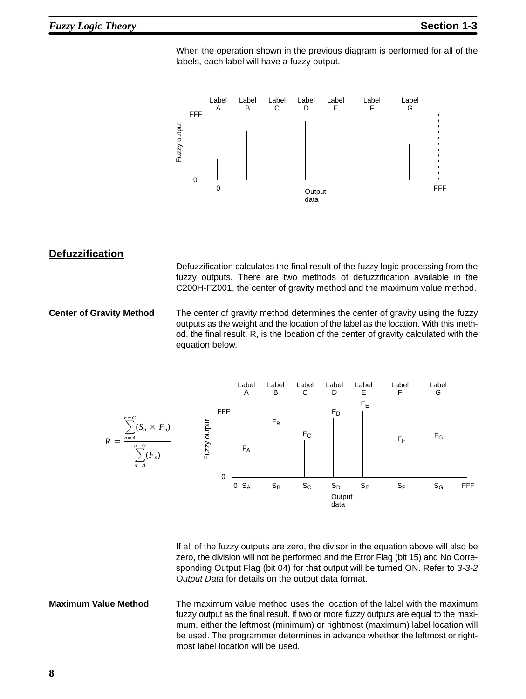When the operation shown in the previous diagram is performed for all of the labels, each label will have a fuzzy output.



#### **Defuzzification**

Defuzzification calculates the final result of the fuzzy logic processing from the fuzzy outputs. There are two methods of defuzzification available in the C200H-FZ001, the center of gravity method and the maximum value method.

**Center of Gravity Method** The center of gravity method determines the center of gravity using the fuzzy outputs as the weight and the location of the label as the location. With this method, the final result, R, is the location of the center of gravity calculated with the equation below.



If all of the fuzzy outputs are zero, the divisor in the equation above will also be zero, the division will not be performed and the Error Flag (bit 15) and No Corresponding Output Flag (bit 04) for that output will be turned ON. Refer to 3-3-2 Output Data for details on the output data format.

#### **Maximum Value Method** The maximum value method uses the location of the label with the maximum fuzzy output as the final result. If two or more fuzzy outputs are equal to the maximum, either the leftmost (minimum) or rightmost (maximum) label location will be used. The programmer determines in advance whether the leftmost or rightmost label location will be used.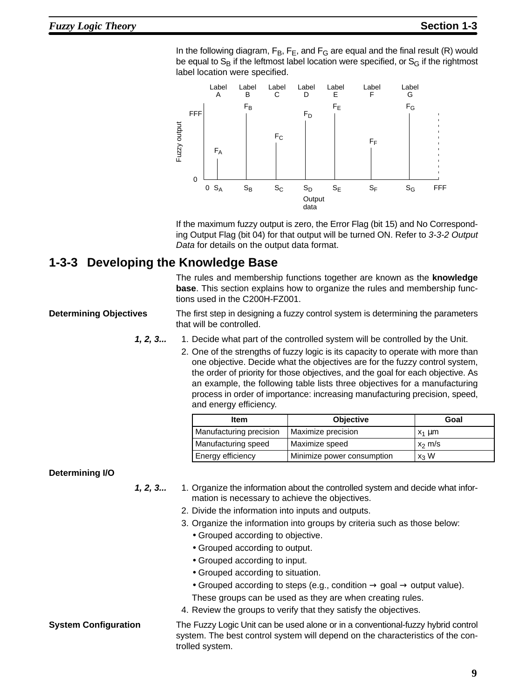In the following diagram,  $F_B$ ,  $F_E$ , and  $F_G$  are equal and the final result (R) would be equal to  $S_B$  if the leftmost label location were specified, or  $S_G$  if the rightmost label location were specified.



If the maximum fuzzy output is zero, the Error Flag (bit 15) and No Corresponding Output Flag (bit 04) for that output will be turned ON. Refer to 3-3-2 Output Data for details on the output data format.

### **1-3-3 Developing the Knowledge Base**

The rules and membership functions together are known as the **knowledge base**. This section explains how to organize the rules and membership functions used in the C200H-FZ001.

#### **Determining Objectives** The first step in designing a fuzzy control system is determining the parameters that will be controlled.

- **1, 2, 3...** 1. Decide what part of the controlled system will be controlled by the Unit.
	- 2. One of the strengths of fuzzy logic is its capacity to operate with more than one objective. Decide what the objectives are for the fuzzy control system, the order of priority for those objectives, and the goal for each objective. As an example, the following table lists three objectives for a manufacturing process in order of importance: increasing manufacturing precision, speed, and energy efficiency.

| <b>Item</b>             | <b>Objective</b>           | Goal      |
|-------------------------|----------------------------|-----------|
| Manufacturing precision | Maximize precision         | $x_1$ um  |
| Manufacturing speed     | Maximize speed             | $x_2$ m/s |
| Energy efficiency       | Minimize power consumption | $x_3$ W   |

### **Determining I/O**

| 1, 2, 3 | 1. Organize the information about the controlled system and decide what infor- |
|---------|--------------------------------------------------------------------------------|
|         | mation is necessary to achieve the objectives.                                 |

- 2. Divide the information into inputs and outputs.
- 3. Organize the information into groups by criteria such as those below:
	- Grouped according to objective.
	- Grouped according to output.
	- Grouped according to input.
	- Grouped according to situation.
	- Grouped according to steps (e.g., condition  $\rightarrow$  goal  $\rightarrow$  output value).
	- These groups can be used as they are when creating rules.
- 4. Review the groups to verify that they satisfy the objectives.

**System Configuration** The Fuzzy Logic Unit can be used alone or in a conventional-fuzzy hybrid control system. The best control system will depend on the characteristics of the controlled system.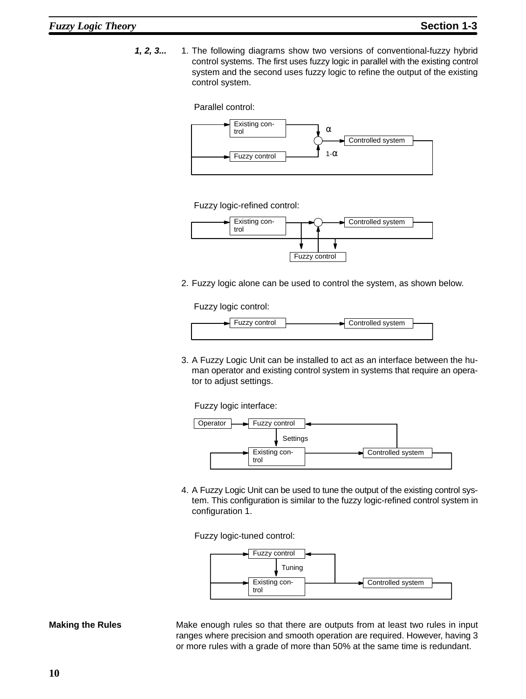**1, 2, 3...** 1. The following diagrams show two versions of conventional-fuzzy hybrid control systems. The first uses fuzzy logic in parallel with the existing control system and the second uses fuzzy logic to refine the output of the existing control system.

Parallel control:



Fuzzy logic-refined control:



2. Fuzzy logic alone can be used to control the system, as shown below.

Fuzzy logic control:



3. A Fuzzy Logic Unit can be installed to act as an interface between the human operator and existing control system in systems that require an operator to adjust settings.

Fuzzy logic interface:



4. A Fuzzy Logic Unit can be used to tune the output of the existing control system. This configuration is similar to the fuzzy logic-refined control system in configuration 1.

Fuzzy logic-tuned control:



**Making the Rules** Make enough rules so that there are outputs from at least two rules in input ranges where precision and smooth operation are required. However, having 3 or more rules with a grade of more than 50% at the same time is redundant.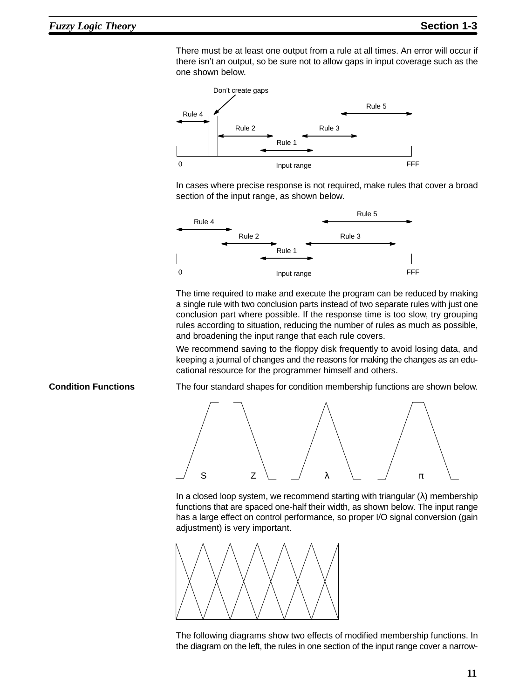There must be at least one output from a rule at all times. An error will occur if there isn't an output, so be sure not to allow gaps in input coverage such as the one shown below.



In cases where precise response is not required, make rules that cover a broad section of the input range, as shown below.



The time required to make and execute the program can be reduced by making a single rule with two conclusion parts instead of two separate rules with just one conclusion part where possible. If the response time is too slow, try grouping rules according to situation, reducing the number of rules as much as possible, and broadening the input range that each rule covers.

We recommend saving to the floppy disk frequently to avoid losing data, and keeping a journal of changes and the reasons for making the changes as an educational resource for the programmer himself and others.

**Condition Functions** The four standard shapes for condition membership functions are shown below.



In a closed loop system, we recommend starting with triangular  $(\lambda)$  membership functions that are spaced one-half their width, as shown below. The input range has a large effect on control performance, so proper I/O signal conversion (gain adjustment) is very important.



The following diagrams show two effects of modified membership functions. In the diagram on the left, the rules in one section of the input range cover a narrow-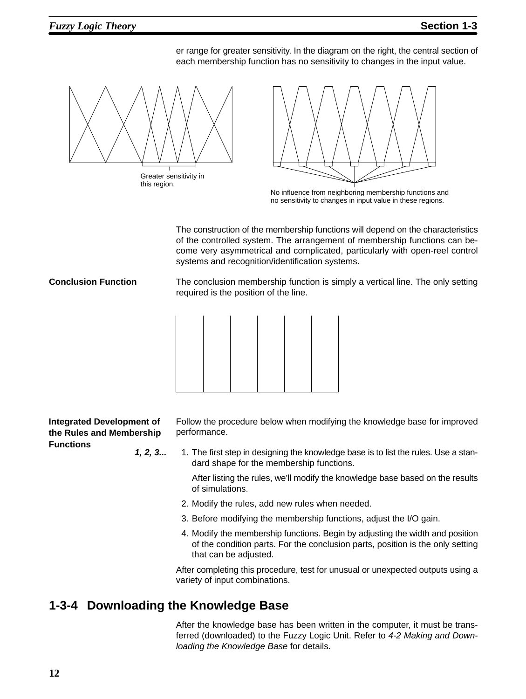er range for greater sensitivity. In the diagram on the right, the central section of each membership function has no sensitivity to changes in the input value.





No influence from neighboring membership functions and no sensitivity to changes in input value in these regions.

The construction of the membership functions will depend on the characteristics of the controlled system. The arrangement of membership functions can become very asymmetrical and complicated, particularly with open-reel control systems and recognition/identification systems.

**Conclusion Function** The conclusion membership function is simply a vertical line. The only setting required is the position of the line.



**Integrated Development of the Rules and Membership Functions**

Follow the procedure below when modifying the knowledge base for improved performance.

**1, 2, 3...** 1. The first step in designing the knowledge base is to list the rules. Use a standard shape for the membership functions.

> After listing the rules, we'll modify the knowledge base based on the results of simulations.

- 2. Modify the rules, add new rules when needed.
- 3. Before modifying the membership functions, adjust the I/O gain.
- 4. Modify the membership functions. Begin by adjusting the width and position of the condition parts. For the conclusion parts, position is the only setting that can be adjusted.

After completing this procedure, test for unusual or unexpected outputs using a variety of input combinations.

### **1-3-4 Downloading the Knowledge Base**

After the knowledge base has been written in the computer, it must be transferred (downloaded) to the Fuzzy Logic Unit. Refer to 4-2 Making and Downloading the Knowledge Base for details.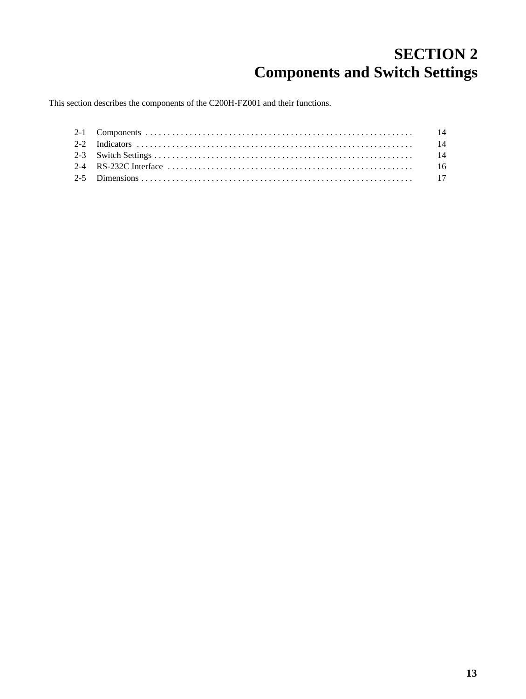# **SECTION 2 Components and Switch Settings**

This section describes the components of the C200H-FZ001 and their functions.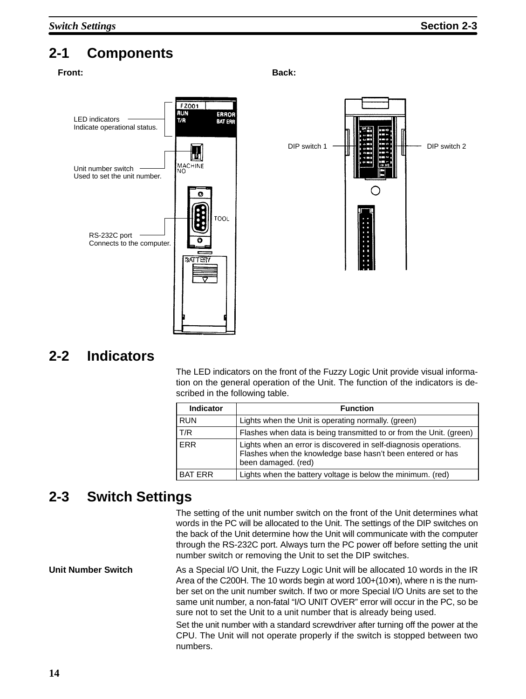# **2-1 Components**

### **Front: Back:**





## **2-2 Indicators**

The LED indicators on the front of the Fuzzy Logic Unit provide visual information on the general operation of the Unit. The function of the indicators is described in the following table.

| <b>Indicator</b> | <b>Function</b>                                                                                                                                       |
|------------------|-------------------------------------------------------------------------------------------------------------------------------------------------------|
| <b>RUN</b>       | Lights when the Unit is operating normally. (green)                                                                                                   |
| T/R              | Flashes when data is being transmitted to or from the Unit. (green)                                                                                   |
| <b>FRR</b>       | Lights when an error is discovered in self-diagnosis operations.<br>Flashes when the knowledge base hasn't been entered or has<br>been damaged. (red) |
| <b>BAT FRR</b>   | Lights when the battery voltage is below the minimum. (red)                                                                                           |

## **2-3 Switch Settings**

The setting of the unit number switch on the front of the Unit determines what words in the PC will be allocated to the Unit. The settings of the DIP switches on the back of the Unit determine how the Unit will communicate with the computer through the RS-232C port. Always turn the PC power off before setting the unit number switch or removing the Unit to set the DIP switches.

**Unit Number Switch** As a Special I/O Unit, the Fuzzy Logic Unit will be allocated 10 words in the IR Area of the C200H. The 10 words begin at word 100+(10×n), where n is the number set on the unit number switch. If two or more Special I/O Units are set to the same unit number, a non-fatal "I/O UNIT OVER" error will occur in the PC, so be sure not to set the Unit to a unit number that is already being used.

> Set the unit number with a standard screwdriver after turning off the power at the CPU. The Unit will not operate properly if the switch is stopped between two numbers.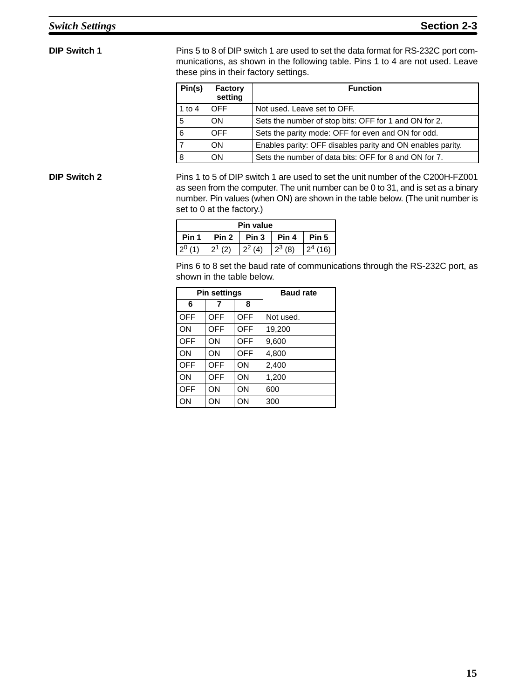**DIP Switch 1** Pins 5 to 8 of DIP switch 1 are used to set the data format for RS-232C port communications, as shown in the following table. Pins 1 to 4 are not used. Leave these pins in their factory settings.

| Pin(s) | <b>Factory</b><br>setting | <b>Function</b>                                            |
|--------|---------------------------|------------------------------------------------------------|
| 1 to 4 | OFF.                      | Not used. Leave set to OFF.                                |
| 5      | <b>ON</b>                 | Sets the number of stop bits: OFF for 1 and ON for 2.      |
| 6      | <b>OFF</b>                | Sets the parity mode: OFF for even and ON for odd.         |
|        | <b>ON</b>                 | Enables parity: OFF disables parity and ON enables parity. |
| 8      | ON                        | Sets the number of data bits: OFF for 8 and ON for 7.      |

**DIP Switch 2** Pins 1 to 5 of DIP switch 1 are used to set the unit number of the C200H-FZ001 as seen from the computer. The unit number can be 0 to 31, and is set as a binary number. Pin values (when ON) are shown in the table below. (The unit number is set to 0 at the factory.)

| <b>Pin value</b> |               |           |                 |                  |
|------------------|---------------|-----------|-----------------|------------------|
| Pin 1            | Pin 2 $\vert$ |           | Pin $3$ Pin $4$ | Pin <sub>5</sub> |
|                  | 21(2)         | $12^2(4)$ | $2^3$ (8)       | $2^4$ (16)       |

Pins 6 to 8 set the baud rate of communications through the RS-232C port, as shown in the table below.

| <b>Pin settings</b> |            |            | <b>Baud rate</b> |
|---------------------|------------|------------|------------------|
| 6                   | 7          | 8          |                  |
| <b>OFF</b>          | <b>OFF</b> | <b>OFF</b> | Not used.        |
| ON                  | <b>OFF</b> | <b>OFF</b> | 19,200           |
| <b>OFF</b>          | OΝ         | <b>OFF</b> | 9,600            |
| ON                  | OΝ         | <b>OFF</b> | 4,800            |
| <b>OFF</b>          | <b>OFF</b> | ON         | 2,400            |
| ON                  | <b>OFF</b> | ON         | 1,200            |
| <b>OFF</b>          | ON         | ON         | 600              |
| ΟN                  | ΟN         | ON         | 300              |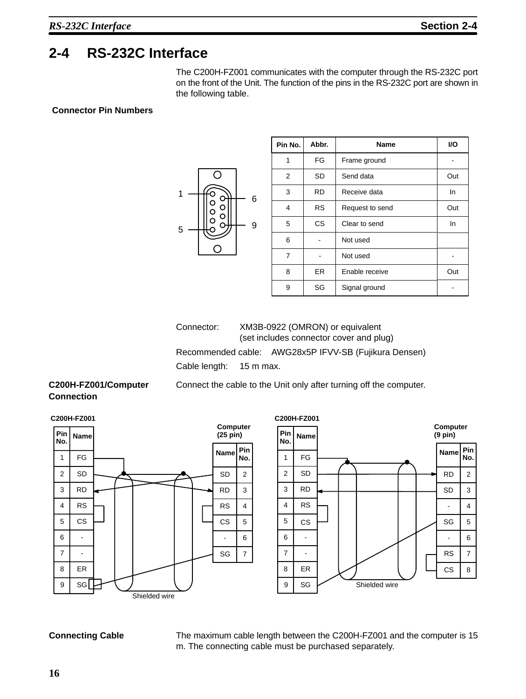# **2-4 RS-232C Interface**

The C200H-FZ001 communicates with the computer through the RS-232C port on the front of the Unit. The function of the pins in the RS-232C port are shown in the following table.

#### **Connector Pin Numbers**



| Pin No.        | Abbr.     | Name            | <b>VO</b> |
|----------------|-----------|-----------------|-----------|
| 1              | FG        | Frame ground    |           |
| 2              | SD        | Send data       | Out       |
| 3              | <b>RD</b> | Receive data    | In        |
| 4              | <b>RS</b> | Request to send | Out       |
| 5              | <b>CS</b> | Clear to send   | In        |
| 6              |           | Not used        |           |
| $\overline{7}$ |           | Not used        |           |
| 8              | ER.       | Enable receive  | Out       |
| 9              | SG        | Signal ground   |           |

Connector: XM3B-0922 (OMRON) or equivalent (set includes connector cover and plug) Recommended cable: AWG28x5P IFVV-SB (Fujikura Densen) Cable length: 15 m max.

#### **C200H-FZ001/Computer Connection**

Connect the cable to the Unit only after turning off the computer.





**Connecting Cable** The maximum cable length between the C200H-FZ001 and the computer is 15 m. The connecting cable must be purchased separately.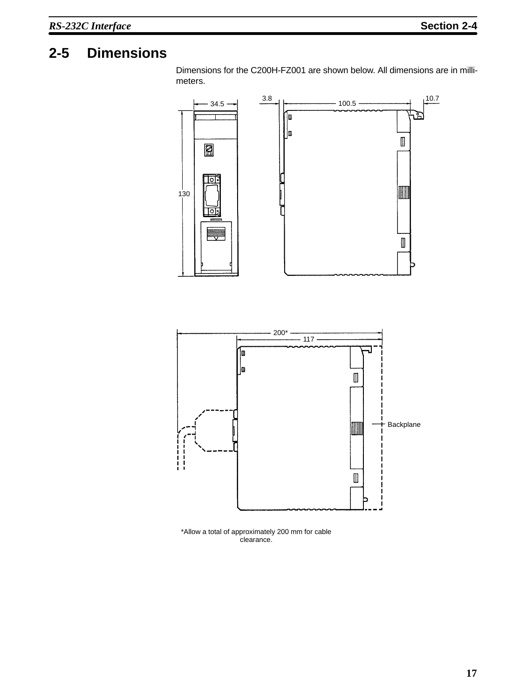# **2-5 Dimensions**

Dimensions for the C200H-FZ001 are shown below. All dimensions are in millimeters.



\*Allow a total of approximately 200 mm for cable clearance.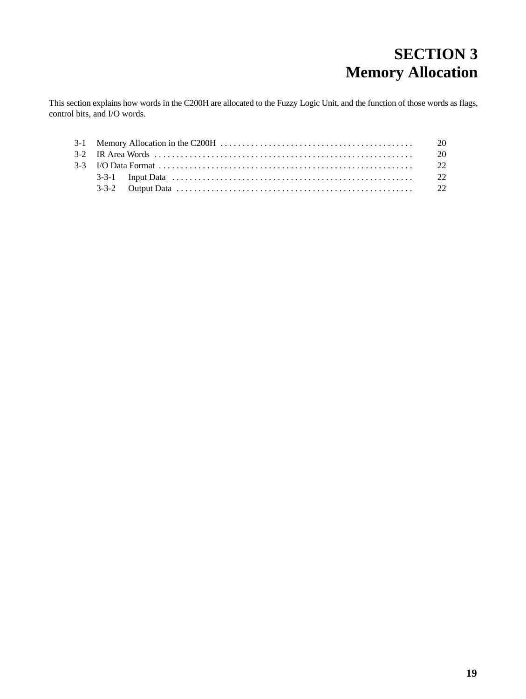# **SECTION 3 Memory Allocation**

This section explains how words in the C200H are allocated to the Fuzzy Logic Unit, and the function of those words as flags, control bits, and I/O words.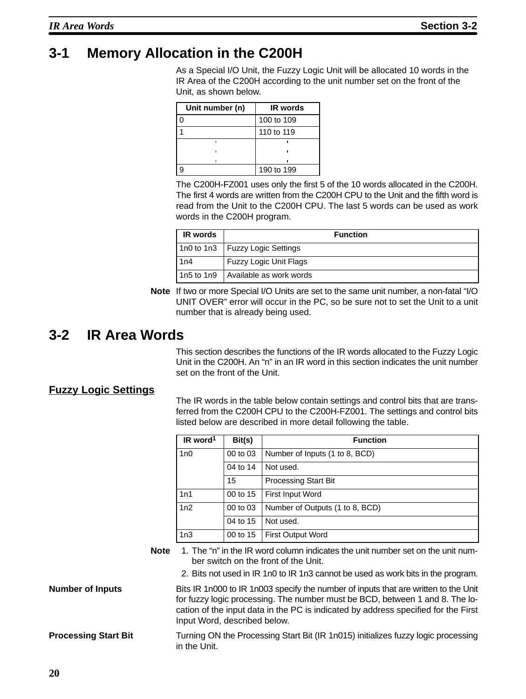## **3-1 Memory Allocation in the C200H**

As a Special I/O Unit, the Fuzzy Logic Unit will be allocated 10 words in the IR Area of the C200H according to the unit number set on the front of the Unit, as shown below.

| Unit number (n) | <b>IR</b> words |
|-----------------|-----------------|
|                 | 100 to 109      |
|                 | 110 to 119      |
|                 |                 |
|                 |                 |
|                 |                 |
|                 | 190 to 199      |

The C200H-FZ001 uses only the first 5 of the 10 words allocated in the C200H. The first 4 words are written from the C200H CPU to the Unit and the fifth word is read from the Unit to the C200H CPU. The last 5 words can be used as work words in the C200H program.

| <b>IR</b> words | <b>Function</b>                   |
|-----------------|-----------------------------------|
|                 | 1n0 to 1n3   Fuzzy Logic Settings |
| 1n4             | <b>Fuzzy Logic Unit Flags</b>     |
| $1n5$ to 1n9    | Available as work words           |

**Note** If two or more Special I/O Units are set to the same unit number, a non-fatal "I/O UNIT OVER" error will occur in the PC, so be sure not to set the Unit to a unit number that is already being used.

## **3-2 IR Area Words**

This section describes the functions of the IR words allocated to the Fuzzy Logic Unit in the C200H. An "n" in an IR word in this section indicates the unit number set on the front of the Unit.

### **Fuzzy Logic Settings**

The IR words in the table below contain settings and control bits that are transferred from the C200H CPU to the C200H-FZ001. The settings and control bits listed below are described in more detail following the table.

|                         |             | IR word <sup>1</sup>         | Bit(s)   | <b>Function</b>                                                                                                                                                                                                                                           |
|-------------------------|-------------|------------------------------|----------|-----------------------------------------------------------------------------------------------------------------------------------------------------------------------------------------------------------------------------------------------------------|
|                         |             | 1n0                          | 00 to 03 | Number of Inputs (1 to 8, BCD)                                                                                                                                                                                                                            |
|                         |             |                              | 04 to 14 | Not used.                                                                                                                                                                                                                                                 |
|                         |             |                              | 15       | <b>Processing Start Bit</b>                                                                                                                                                                                                                               |
|                         |             | 1n1                          | 00 to 15 | First Input Word                                                                                                                                                                                                                                          |
|                         |             | 1n2                          | 00 to 03 | Number of Outputs (1 to 8, BCD)                                                                                                                                                                                                                           |
|                         |             |                              | 04 to 15 | Not used.                                                                                                                                                                                                                                                 |
|                         |             | 1n3                          | 00 to 15 | <b>First Output Word</b>                                                                                                                                                                                                                                  |
|                         | <b>Note</b> |                              |          | 1. The "n" in the IR word column indicates the unit number set on the unit num-<br>ber switch on the front of the Unit.                                                                                                                                   |
|                         |             |                              |          | 2. Bits not used in IR 1n0 to IR 1n3 cannot be used as work bits in the program.                                                                                                                                                                          |
| <b>Number of Inputs</b> |             | Input Word, described below. |          | Bits IR 1n000 to IR 1n003 specify the number of inputs that are written to the Unit<br>for fuzzy logic processing. The number must be BCD, between 1 and 8. The lo-<br>cation of the input data in the PC is indicated by address specified for the First |
| Processing Start Bit    |             | in the Unit.                 |          | Turning ON the Processing Start Bit (IR 1n015) initializes fuzzy logic processing                                                                                                                                                                         |
|                         |             |                              |          |                                                                                                                                                                                                                                                           |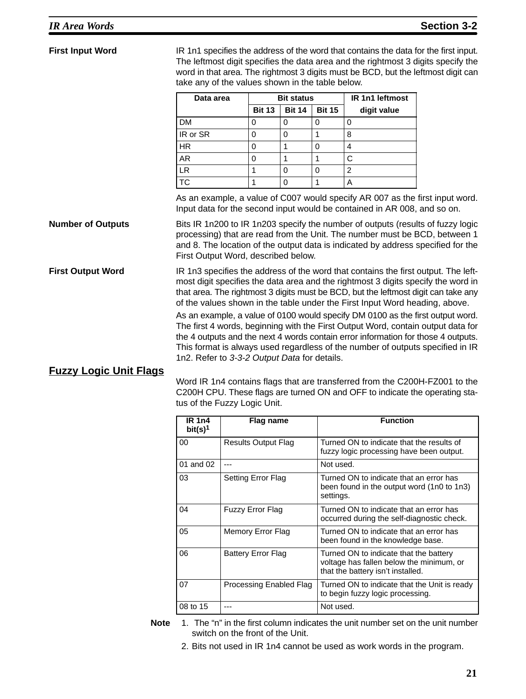**First Input Word** IR 1n1 specifies the address of the word that contains the data for the first input. The leftmost digit specifies the data area and the rightmost 3 digits specify the word in that area. The rightmost 3 digits must be BCD, but the leftmost digit can take any of the values shown in the table below.

| Data area | <b>Bit status</b> |               | <b>IR 1n1 leftmost</b> |             |
|-----------|-------------------|---------------|------------------------|-------------|
|           | <b>Bit 13</b>     | <b>Bit 14</b> | <b>Bit 15</b>          | digit value |
| DM        |                   |               |                        |             |
| IR or SR  | በ                 |               |                        | 8           |
| HR        | Ω                 |               |                        |             |
| AR        |                   |               |                        | C           |
| LR        |                   |               |                        | 2           |
| ТC        |                   |               |                        |             |

As an example, a value of C007 would specify AR 007 as the first input word. Input data for the second input would be contained in AR 008, and so on.

**Number of Outputs** Bits IR 1n200 to IR 1n203 specify the number of outputs (results of fuzzy logic processing) that are read from the Unit. The number must be BCD, between 1 and 8. The location of the output data is indicated by address specified for the First Output Word, described below.

**First Output Word** IR 1n3 specifies the address of the word that contains the first output. The leftmost digit specifies the data area and the rightmost 3 digits specify the word in that area. The rightmost 3 digits must be BCD, but the leftmost digit can take any of the values shown in the table under the First Input Word heading, above.

> As an example, a value of 0100 would specify DM 0100 as the first output word. The first 4 words, beginning with the First Output Word, contain output data for the 4 outputs and the next 4 words contain error information for those 4 outputs. This format is always used regardless of the number of outputs specified in IR 1n2. Refer to 3-3-2 Output Data for details.

#### **Fuzzy Logic Unit Flags**

Word IR 1n4 contains flags that are transferred from the C200H-FZ001 to the C200H CPU. These flags are turned ON and OFF to indicate the operating status of the Fuzzy Logic Unit.

| <b>IR 1n4</b><br>bit(s) <sup>1</sup> | Flag name                  | <b>Function</b>                                                                                                         |
|--------------------------------------|----------------------------|-------------------------------------------------------------------------------------------------------------------------|
| $00\,$                               | <b>Results Output Flag</b> | Turned ON to indicate that the results of<br>fuzzy logic processing have been output.                                   |
| 01 and 02                            |                            | Not used.                                                                                                               |
| 03                                   | Setting Error Flag         | Turned ON to indicate that an error has<br>been found in the output word (1n0 to 1n3)<br>settings.                      |
| 04                                   | <b>Fuzzy Error Flag</b>    | Turned ON to indicate that an error has<br>occurred during the self-diagnostic check.                                   |
| 05                                   | Memory Error Flag          | Turned ON to indicate that an error has<br>been found in the knowledge base.                                            |
| 06                                   | <b>Battery Error Flag</b>  | Turned ON to indicate that the battery<br>voltage has fallen below the minimum, or<br>that the battery isn't installed. |
| 07                                   | Processing Enabled Flag    | Turned ON to indicate that the Unit is ready<br>to begin fuzzy logic processing.                                        |
| 08 to 15                             |                            | Not used.                                                                                                               |

**Note** 1. The "n" in the first column indicates the unit number set on the unit number switch on the front of the Unit.

2. Bits not used in IR 1n4 cannot be used as work words in the program.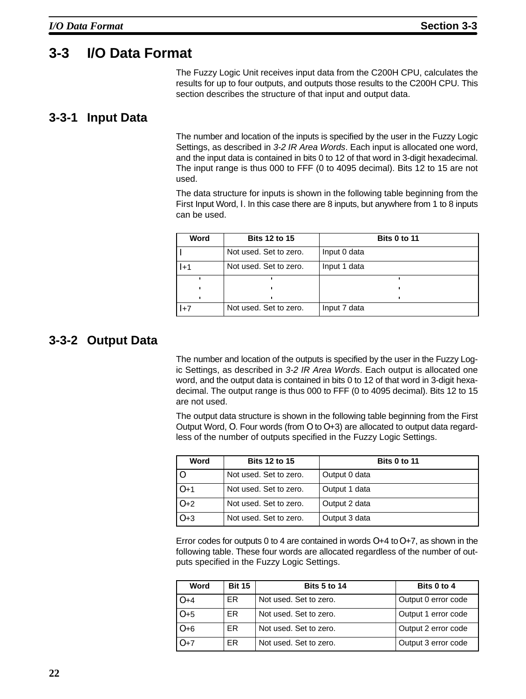## **3-3 I/O Data Format**

The Fuzzy Logic Unit receives input data from the C200H CPU, calculates the results for up to four outputs, and outputs those results to the C200H CPU. This section describes the structure of that input and output data.

### **3-3-1 Input Data**

The number and location of the inputs is specified by the user in the Fuzzy Logic Settings, as described in 3-2 IR Area Words. Each input is allocated one word, and the input data is contained in bits 0 to 12 of that word in 3-digit hexadecimal. The input range is thus 000 to FFF (0 to 4095 decimal). Bits 12 to 15 are not used.

The data structure for inputs is shown in the following table beginning from the First Input Word, Ι. In this case there are 8 inputs, but anywhere from 1 to 8 inputs can be used.

| Word<br><b>Bits 12 to 15</b> |                        | <b>Bits 0 to 11</b> |
|------------------------------|------------------------|---------------------|
|                              | Not used. Set to zero. | Input 0 data        |
| $I+1$                        | Not used. Set to zero. | Input 1 data        |
|                              |                        |                     |
|                              |                        |                     |
|                              |                        |                     |
| $I+7$                        | Not used. Set to zero. | Input 7 data        |

### **3-3-2 Output Data**

The number and location of the outputs is specified by the user in the Fuzzy Logic Settings, as described in 3-2 IR Area Words. Each output is allocated one word, and the output data is contained in bits 0 to 12 of that word in 3-digit hexadecimal. The output range is thus 000 to FFF (0 to 4095 decimal). Bits 12 to 15 are not used.

The output data structure is shown in the following table beginning from the First Output Word, Ο. Four words (from Ο to Ο+3) are allocated to output data regardless of the number of outputs specified in the Fuzzy Logic Settings.

| Word  | <b>Bits 12 to 15</b>   | <b>Bits 0 to 11</b> |
|-------|------------------------|---------------------|
|       | Not used. Set to zero. | Output 0 data       |
| $O+1$ | Not used. Set to zero. | Output 1 data       |
| $O+2$ | Not used. Set to zero. | Output 2 data       |
| $O+3$ | Not used. Set to zero. | Output 3 data       |

Error codes for outputs 0 to 4 are contained in words Ο+4 to Ο+7, as shown in the following table. These four words are allocated regardless of the number of outputs specified in the Fuzzy Logic Settings.

| Word  | <b>Bit 15</b> | <b>Bits 5 to 14</b>    | Bits 0 to 4         |
|-------|---------------|------------------------|---------------------|
| $O+4$ | FR.           | Not used. Set to zero. | Output 0 error code |
| $O+5$ | ER.           | Not used. Set to zero. | Output 1 error code |
| $O+6$ | FR.           | Not used. Set to zero. | Output 2 error code |
| $O+7$ | FR.           | Not used. Set to zero. | Output 3 error code |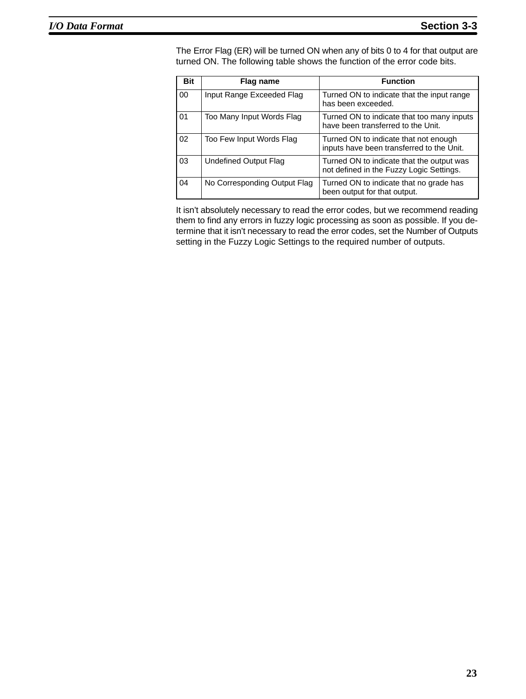The Error Flag (ER) will be turned ON when any of bits 0 to 4 for that output are turned ON. The following table shows the function of the error code bits.

| <b>Bit</b> | Flag name                    | <b>Function</b>                                                                       |
|------------|------------------------------|---------------------------------------------------------------------------------------|
| $00\,$     | Input Range Exceeded Flag    | Turned ON to indicate that the input range<br>has been exceeded.                      |
| 01         | Too Many Input Words Flag    | Turned ON to indicate that too many inputs<br>have been transferred to the Unit.      |
| 02         | Too Few Input Words Flag     | Turned ON to indicate that not enough<br>inputs have been transferred to the Unit.    |
| 03         | Undefined Output Flag        | Turned ON to indicate that the output was<br>not defined in the Fuzzy Logic Settings. |
| 04         | No Corresponding Output Flag | Turned ON to indicate that no grade has<br>been output for that output.               |

It isn't absolutely necessary to read the error codes, but we recommend reading them to find any errors in fuzzy logic processing as soon as possible. If you determine that it isn't necessary to read the error codes, set the Number of Outputs setting in the Fuzzy Logic Settings to the required number of outputs.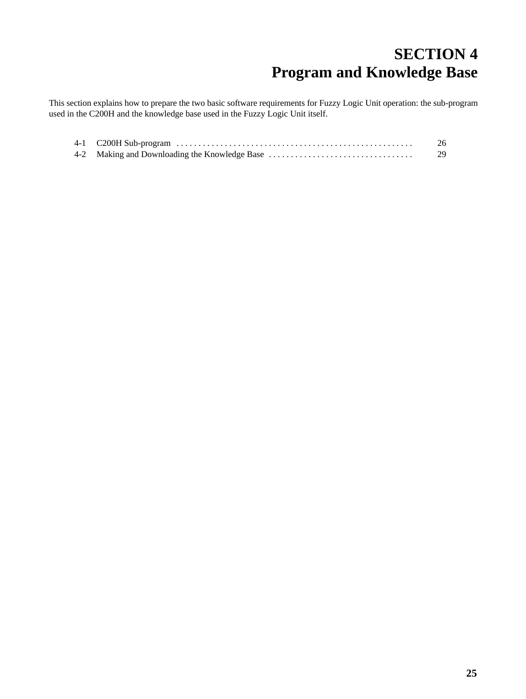# **SECTION 4 Program and Knowledge Base**

This section explains how to prepare the two basic software requirements for Fuzzy Logic Unit operation: the sub-program used in the C200H and the knowledge base used in the Fuzzy Logic Unit itself.

|                                               | 26 |
|-----------------------------------------------|----|
| 4-2 Making and Downloading the Knowledge Base | 29 |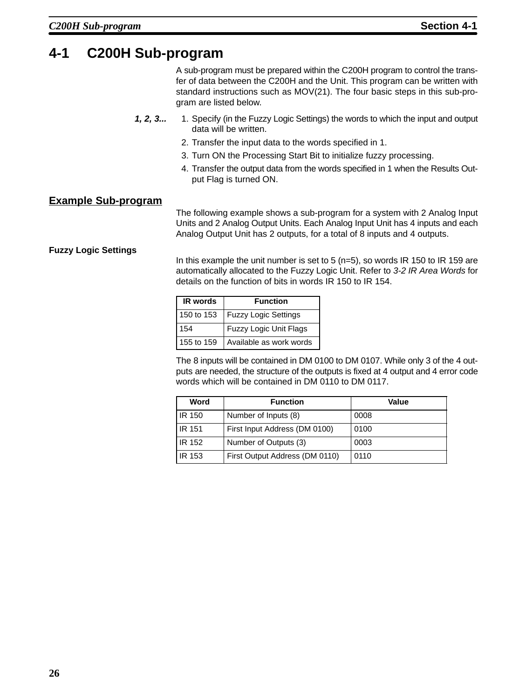## **4-1 C200H Sub-program**

A sub-program must be prepared within the C200H program to control the transfer of data between the C200H and the Unit. This program can be written with standard instructions such as MOV(21). The four basic steps in this sub-program are listed below.

- **1, 2, 3...** 1. Specify (in the Fuzzy Logic Settings) the words to which the input and output data will be written.
	- 2. Transfer the input data to the words specified in 1.
	- 3. Turn ON the Processing Start Bit to initialize fuzzy processing.
	- 4. Transfer the output data from the words specified in 1 when the Results Output Flag is turned ON.

### **Example Sub-program**

The following example shows a sub-program for a system with 2 Analog Input Units and 2 Analog Output Units. Each Analog Input Unit has 4 inputs and each Analog Output Unit has 2 outputs, for a total of 8 inputs and 4 outputs.

#### **Fuzzy Logic Settings**

In this example the unit number is set to  $5$  (n=5), so words IR 150 to IR 159 are automatically allocated to the Fuzzy Logic Unit. Refer to 3-2 IR Area Words for details on the function of bits in words IR 150 to IR 154.

| <b>IR words</b> | <b>Function</b>             |
|-----------------|-----------------------------|
| 150 to 153      | <b>Fuzzy Logic Settings</b> |
| 154             | Fuzzy Logic Unit Flags      |
| 155 to 159      | Available as work words     |

The 8 inputs will be contained in DM 0100 to DM 0107. While only 3 of the 4 outputs are needed, the structure of the outputs is fixed at 4 output and 4 error code words which will be contained in DM 0110 to DM 0117.

| Word          | <b>Function</b>                | Value |
|---------------|--------------------------------|-------|
| IR 150        | Number of Inputs (8)           | 0008  |
| <b>IR 151</b> | First Input Address (DM 0100)  | 0100  |
| IR 152        | Number of Outputs (3)          | 0003  |
| <b>IR 153</b> | First Output Address (DM 0110) | 0110  |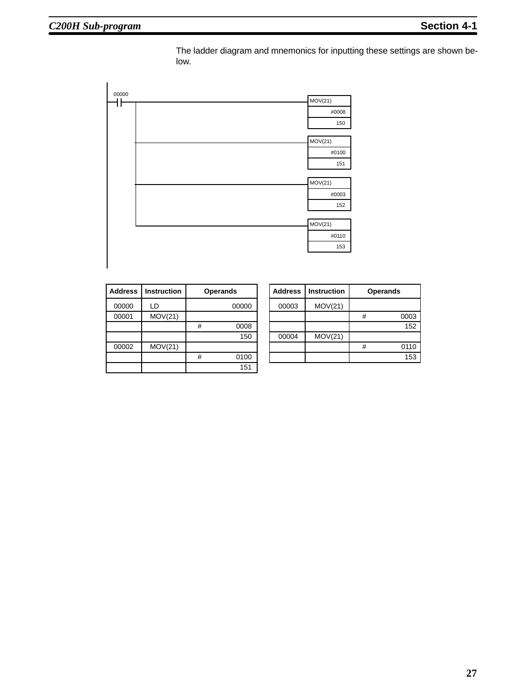The ladder diagram and mnemonics for inputting these settings are shown below.



| <b>Address</b> | <b>Instruction</b> |   | <b>Operands</b> | <b>Address</b> | <b>Instruction</b> | Operands |
|----------------|--------------------|---|-----------------|----------------|--------------------|----------|
| 00000          | LD                 |   | 00000           | 00003          | MOV(21)            |          |
| 00001          | MOV(21)            |   |                 |                |                    | #        |
|                |                    | # | 0008            |                |                    |          |
|                |                    |   | 150             | 00004          | MOV(21)            |          |
| 00002          | MOV(21)            |   |                 |                |                    | #        |
|                |                    | # | 0100            |                |                    |          |
|                |                    |   | 151             |                |                    |          |

| <b>Address</b> | <b>Instruction</b> | <b>Operands</b> |      |
|----------------|--------------------|-----------------|------|
| 00003          | MOV(21)            |                 |      |
|                |                    | #               | 0003 |
|                |                    |                 | 152  |
| 00004          | MOV(21)            |                 |      |
|                |                    | #               | 0110 |
|                |                    |                 | 153  |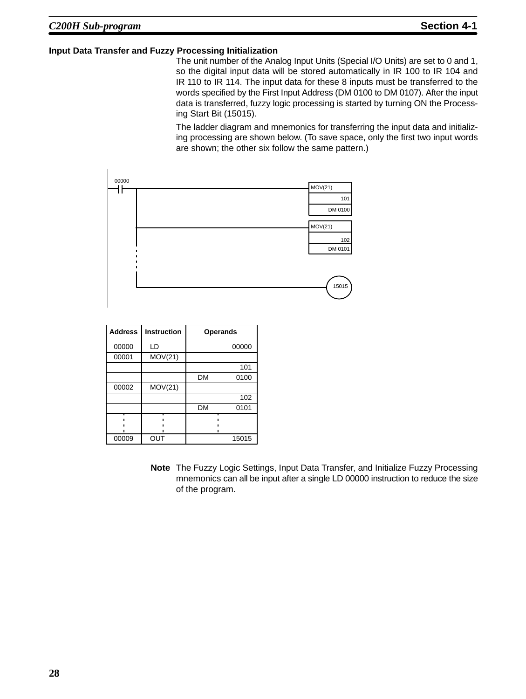#### **Input Data Transfer and Fuzzy Processing Initialization**

The unit number of the Analog Input Units (Special I/O Units) are set to 0 and 1, so the digital input data will be stored automatically in IR 100 to IR 104 and IR 110 to IR 114. The input data for these 8 inputs must be transferred to the words specified by the First Input Address (DM 0100 to DM 0107). After the input data is transferred, fuzzy logic processing is started by turning ON the Processing Start Bit (15015).

The ladder diagram and mnemonics for transferring the input data and initializing processing are shown below. (To save space, only the first two input words are shown; the other six follow the same pattern.)



| <b>Address</b> | <b>Instruction</b> | <b>Operands</b> |
|----------------|--------------------|-----------------|
| 00000          | LD                 | 00000           |
| 00001          | MOV(21)            |                 |
|                |                    | 101             |
|                |                    | DM<br>0100      |
| 00002          | MOV(21)            |                 |
|                |                    | 102             |
|                |                    | DM<br>0101      |
|                |                    |                 |
|                |                    |                 |
| 00009          | OUT                | 15015           |

**Note** The Fuzzy Logic Settings, Input Data Transfer, and Initialize Fuzzy Processing mnemonics can all be input after a single LD 00000 instruction to reduce the size of the program.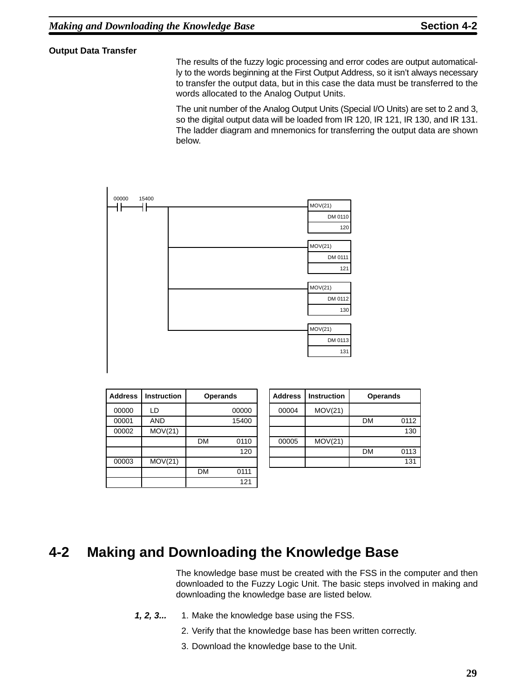#### **Output Data Transfer**

The results of the fuzzy logic processing and error codes are output automatically to the words beginning at the First Output Address, so it isn't always necessary to transfer the output data, but in this case the data must be transferred to the words allocated to the Analog Output Units.

The unit number of the Analog Output Units (Special I/O Units) are set to 2 and 3, so the digital output data will be loaded from IR 120, IR 121, IR 130, and IR 131. The ladder diagram and mnemonics for transferring the output data are shown below.



| <b>Address</b> | <b>Instruction</b> |           | <b>Operands</b> | <b>Address</b> | <b>Instruction</b> | <b>Operands</b> |      |
|----------------|--------------------|-----------|-----------------|----------------|--------------------|-----------------|------|
| 00000          | LD                 |           | 00000           | 00004          | MOV(21)            |                 |      |
| 00001          | AND                |           | 15400           |                |                    | <b>DM</b>       | 0112 |
| 00002          | MOV(21)            |           |                 |                |                    |                 | 130  |
|                |                    | <b>DM</b> | 0110            | 00005          | MOV(21)            |                 |      |
|                |                    |           | 120             |                |                    | <b>DM</b>       | 0113 |
| 00003          | MOV(21)            |           |                 |                |                    |                 | 131  |
|                |                    | <b>DM</b> | 0111            |                |                    |                 |      |
|                |                    |           | 121             |                |                    |                 |      |

## **4-2 Making and Downloading the Knowledge Base**

The knowledge base must be created with the FSS in the computer and then downloaded to the Fuzzy Logic Unit. The basic steps involved in making and downloading the knowledge base are listed below.

- **1, 2, 3...** 1. Make the knowledge base using the FSS.
	- 2. Verify that the knowledge base has been written correctly.
	- 3. Download the knowledge base to the Unit.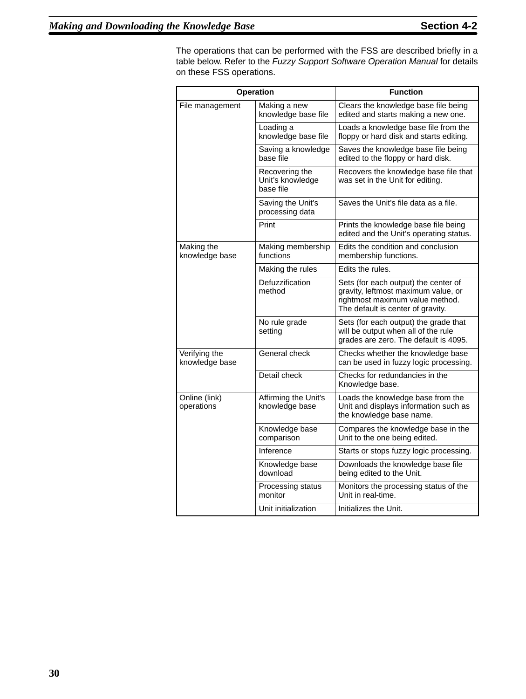The operations that can be performed with the FSS are described briefly in a table below. Refer to the Fuzzy Support Software Operation Manual for details on these FSS operations.

|                                 | <b>Operation</b>                                | <b>Function</b>                                                                                                                                     |
|---------------------------------|-------------------------------------------------|-----------------------------------------------------------------------------------------------------------------------------------------------------|
| File management                 | Making a new<br>knowledge base file             | Clears the knowledge base file being<br>edited and starts making a new one.                                                                         |
|                                 | Loading a<br>knowledge base file                | Loads a knowledge base file from the<br>floppy or hard disk and starts editing.                                                                     |
|                                 | Saving a knowledge<br>base file                 | Saves the knowledge base file being<br>edited to the floppy or hard disk.                                                                           |
|                                 | Recovering the<br>Unit's knowledge<br>base file | Recovers the knowledge base file that<br>was set in the Unit for editing.                                                                           |
|                                 | Saving the Unit's<br>processing data            | Saves the Unit's file data as a file.                                                                                                               |
|                                 | Print                                           | Prints the knowledge base file being<br>edited and the Unit's operating status.                                                                     |
| Making the<br>knowledge base    | Making membership<br>functions                  | Edits the condition and conclusion<br>membership functions.                                                                                         |
|                                 | Making the rules                                | Edits the rules.                                                                                                                                    |
|                                 | Defuzzification<br>method                       | Sets (for each output) the center of<br>gravity, leftmost maximum value, or<br>rightmost maximum value method.<br>The default is center of gravity. |
|                                 | No rule grade<br>setting                        | Sets (for each output) the grade that<br>will be output when all of the rule<br>grades are zero. The default is 4095.                               |
| Verifying the<br>knowledge base | General check                                   | Checks whether the knowledge base<br>can be used in fuzzy logic processing.                                                                         |
|                                 | Detail check                                    | Checks for redundancies in the<br>Knowledge base.                                                                                                   |
| Online (link)<br>operations     | Affirming the Unit's<br>knowledge base          | Loads the knowledge base from the<br>Unit and displays information such as<br>the knowledge base name.                                              |
|                                 | Knowledge base<br>comparison                    | Compares the knowledge base in the<br>Unit to the one being edited.                                                                                 |
|                                 | Inference                                       | Starts or stops fuzzy logic processing.                                                                                                             |
|                                 | Knowledge base<br>download                      | Downloads the knowledge base file<br>being edited to the Unit.                                                                                      |
|                                 | Processing status<br>monitor                    | Monitors the processing status of the<br>Unit in real-time.                                                                                         |
|                                 | Unit initialization                             | Initializes the Unit.                                                                                                                               |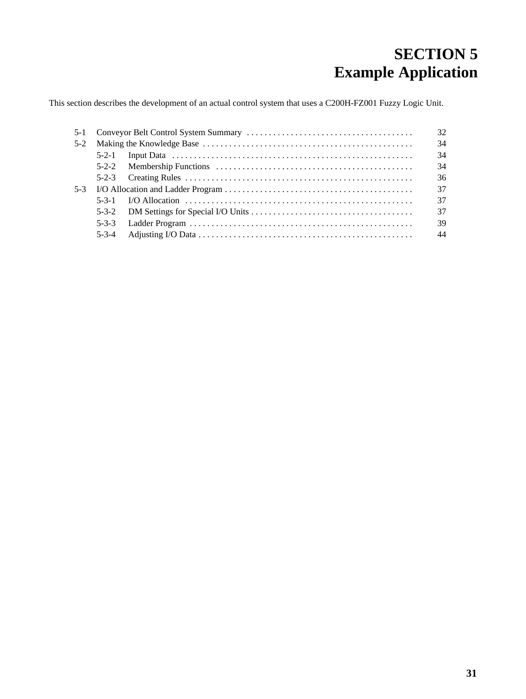# **SECTION 5 Example Application**

This section describes the development of an actual control system that uses a C200H-FZ001 Fuzzy Logic Unit.

| $5-1$ |             | 32 |
|-------|-------------|----|
| $5-2$ |             | 34 |
|       |             | 34 |
|       |             | 34 |
|       |             | 36 |
| $5-3$ |             | 37 |
|       |             | 37 |
|       |             | 37 |
|       | $5 - 3 - 3$ | 39 |
|       |             | 44 |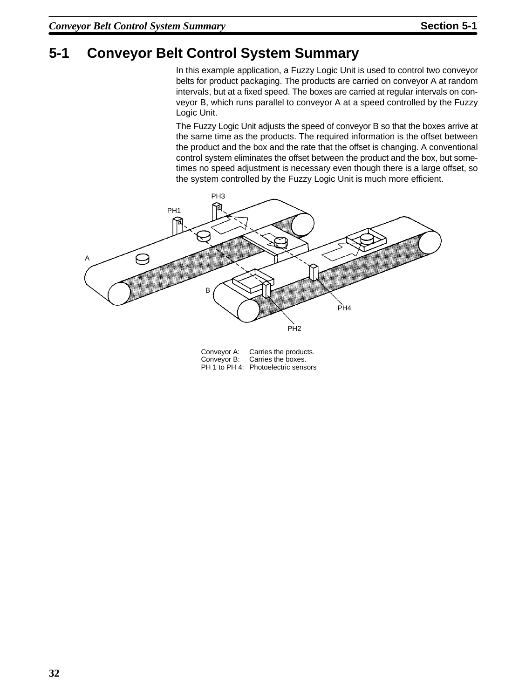## **5-1 Conveyor Belt Control System Summary**

In this example application, a Fuzzy Logic Unit is used to control two conveyor belts for product packaging. The products are carried on conveyor A at random intervals, but at a fixed speed. The boxes are carried at regular intervals on conveyor B, which runs parallel to conveyor A at a speed controlled by the Fuzzy Logic Unit.

The Fuzzy Logic Unit adjusts the speed of conveyor B so that the boxes arrive at the same time as the products. The required information is the offset between the product and the box and the rate that the offset is changing. A conventional control system eliminates the offset between the product and the box, but sometimes no speed adjustment is necessary even though there is a large offset, so the system controlled by the Fuzzy Logic Unit is much more efficient.



| Conveyor A:   | Carries the products. |
|---------------|-----------------------|
| Conveyor B:   | Carries the boxes.    |
| PH 1 to PH 4: | Photoelectric sensors |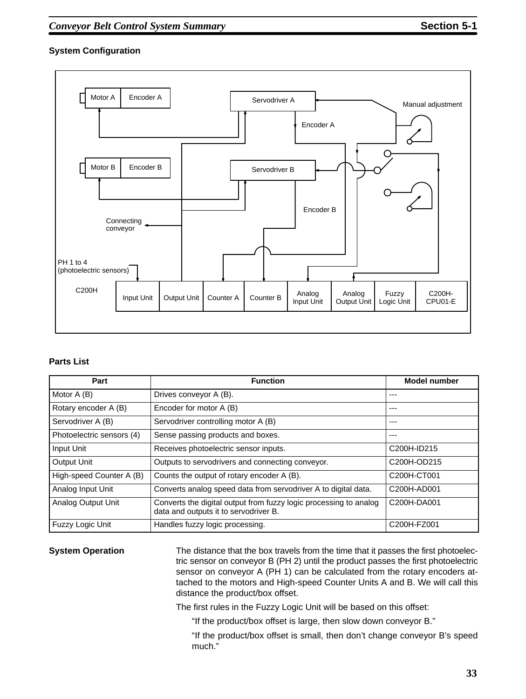### **System Configuration**



#### **Parts List**

| Part                      | <b>Function</b>                                                                                            | <b>Model number</b>                  |
|---------------------------|------------------------------------------------------------------------------------------------------------|--------------------------------------|
| Motor A (B)               | Drives conveyor A (B).                                                                                     |                                      |
| Rotary encoder A (B)      | Encoder for motor A (B)                                                                                    | ---                                  |
| Servodriver A (B)         | Servodriver controlling motor A (B)                                                                        | ---                                  |
| Photoelectric sensors (4) | Sense passing products and boxes.                                                                          |                                      |
| Input Unit                | Receives photoelectric sensor inputs.                                                                      | C200H-ID215                          |
| <b>Output Unit</b>        | Outputs to servodrivers and connecting conveyor.                                                           | C <sub>200</sub> H-OD <sub>215</sub> |
| High-speed Counter A (B)  | Counts the output of rotary encoder A (B).                                                                 | C200H-CT001                          |
| Analog Input Unit         | Converts analog speed data from servodriver A to digital data.                                             | C200H-AD001                          |
| Analog Output Unit        | Converts the digital output from fuzzy logic processing to analog<br>data and outputs it to servodriver B. | C200H-DA001                          |
| Fuzzy Logic Unit          | Handles fuzzy logic processing.                                                                            | C200H-FZ001                          |

**System Operation** The distance that the box travels from the time that it passes the first photoelectric sensor on conveyor B (PH 2) until the product passes the first photoelectric sensor on conveyor A (PH 1) can be calculated from the rotary encoders attached to the motors and High-speed Counter Units A and B. We will call this distance the product/box offset.

The first rules in the Fuzzy Logic Unit will be based on this offset:

- "If the product/box offset is large, then slow down conveyor B."
- "If the product/box offset is small, then don't change conveyor B's speed much."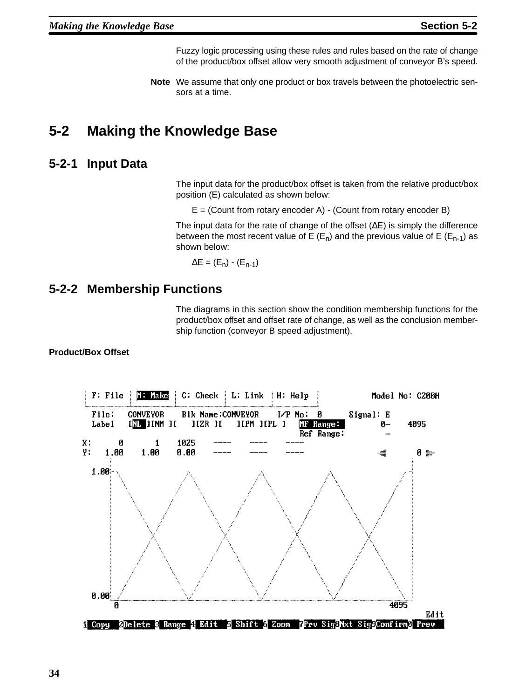Fuzzy logic processing using these rules and rules based on the rate of change of the product/box offset allow very smooth adjustment of conveyor B's speed.

**Note** We assume that only one product or box travels between the photoelectric sensors at a time.

## **5-2 Making the Knowledge Base**

### **5-2-1 Input Data**

The input data for the product/box offset is taken from the relative product/box position (E) calculated as shown below:

 $E = (Count from rotary encoder A) - (Count from rotary encoder B)$ 

The input data for the rate of change of the offset ( $\Delta E$ ) is simply the difference between the most recent value of E  $(E_n)$  and the previous value of E  $(E_{n-1})$  as shown below:

 $\Delta E = (E_n) - (E_{n-1})$ 

### **5-2-2 Membership Functions**

The diagrams in this section show the condition membership functions for the product/box offset and offset rate of change, as well as the conclusion membership function (conveyor B speed adjustment).

#### **Product/Box Offset**

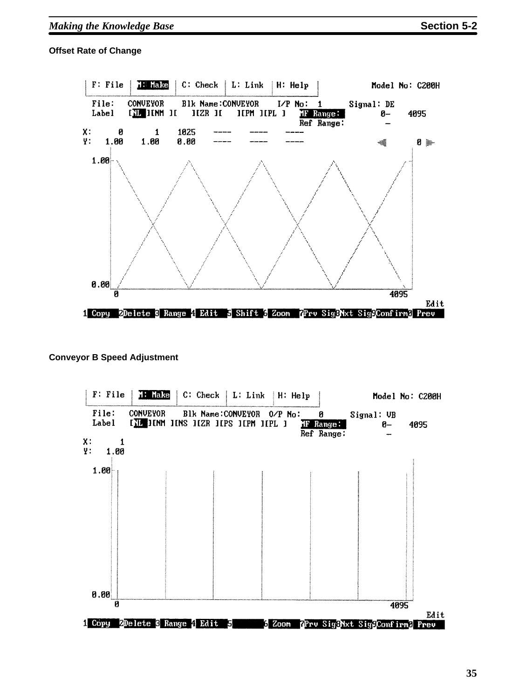**Offset Rate of Change**



#### **Conveyor B Speed Adjustment**

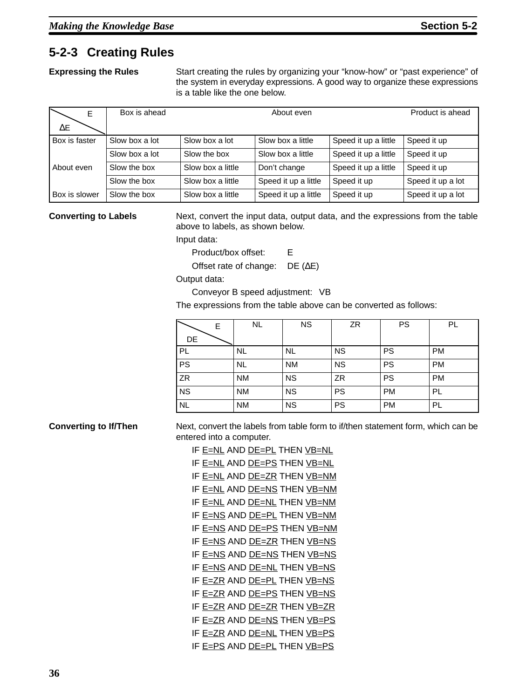## **5-2-3 Creating Rules**

**Expressing the Rules** Start creating the rules by organizing your "know-how" or "past experience" of the system in everyday expressions. A good way to organize these expressions is a table like the one below.

| E<br>$\Delta E$ | Box is ahead   |                   | About even           |                      | Product is ahead  |
|-----------------|----------------|-------------------|----------------------|----------------------|-------------------|
| Box is faster   | Slow box a lot | Slow box a lot    | Slow box a little    | Speed it up a little | Speed it up       |
|                 | Slow box a lot | Slow the box      | Slow box a little    | Speed it up a little | Speed it up       |
| About even      | Slow the box   | Slow box a little | Don't change         | Speed it up a little | Speed it up       |
|                 | Slow the box   | Slow box a little | Speed it up a little | Speed it up          | Speed it up a lot |
| Box is slower   | Slow the box   | Slow box a little | Speed it up a little | Speed it up          | Speed it up a lot |

**Converting to Labels** Next, convert the input data, output data, and the expressions from the table above to labels, as shown below.

Input data:

Product/box offset: E

Offset rate of change: DE (∆E)

Output data:

Conveyor B speed adjustment: VB

The expressions from the table above can be converted as follows:

| E.        | NL.       | <b>NS</b> | <b>ZR</b> | <b>PS</b> | PL        |
|-----------|-----------|-----------|-----------|-----------|-----------|
| DE        |           |           |           |           |           |
| <b>PL</b> | <b>NL</b> | <b>NL</b> | <b>NS</b> | <b>PS</b> | <b>PM</b> |
| PS        | <b>NL</b> | <b>NM</b> | <b>NS</b> | <b>PS</b> | <b>PM</b> |
| <b>ZR</b> | NM        | <b>NS</b> | <b>ZR</b> | <b>PS</b> | <b>PM</b> |
| <b>NS</b> | <b>NM</b> | <b>NS</b> | <b>PS</b> | <b>PM</b> | <b>PL</b> |
| NL        | <b>NM</b> | <b>NS</b> | <b>PS</b> | <b>PM</b> | <b>PL</b> |

**Converting to If/Then** Next, convert the labels from table form to if/then statement form, which can be entered into a computer.

- IF E=NL AND DE=PL THEN VB=NL
- IF E=NL AND DE=PS THEN VB=NL
- IF E=NL AND DE=ZR THEN VB=NM
- IF E=NL AND DE=NS THEN VB=NM
- IF **E=NL** AND **DE=NL** THEN VB=NM
- IF E=NS AND DE=PL THEN VB=NM
- IF E=NS AND DE=PS THEN VB=NM
- IF E=NS AND DE=ZR THEN VB=NS
- IF E=NS AND DE=NS THEN VB=NS
- IF E=NS AND DE=NL THEN VB=NS
- IF E=ZR AND DE=PL THEN VB=NS
- IF E=ZR AND DE=PS THEN VB=NS
- IF E=ZR AND DE=ZR THEN VB=ZR
- IF E=ZR AND DE=NS THEN VB=PS
- IF E=ZR AND DE=NL THEN VB=PS
- IF E=PS AND DE=PL THEN VB=PS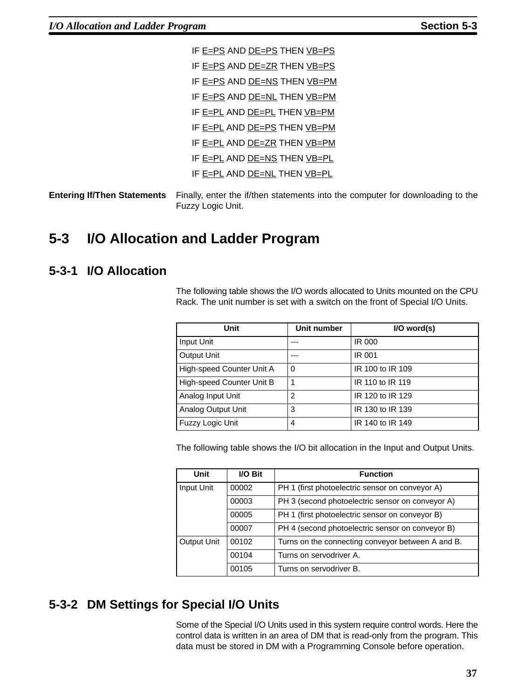- IF E=PS AND DE=PS THEN VB=PS
- IF **E**=PS AND <u>DE=ZR</u> THEN VB=PS
- IF E=PS AND DE=NS THEN VB=PM
- IF E=PS AND DE=NL THEN VB=PM
- IF E=PL AND DE=PL THEN VB=PM
- IF <u>E=PL</u> AND <u>DE=PS</u> THEN VB=PM
- IF E=PL AND DE=ZR THEN VB=PM
- IF E=PL AND DE=NS THEN VB=PL
- IF E=PL AND DE=NL THEN VB=PL

## **5-3 I/O Allocation and Ladder Program**

### **5-3-1 I/O Allocation**

The following table shows the I/O words allocated to Units mounted on the CPU Rack. The unit number is set with a switch on the front of Special I/O Units.

| Unit                      | Unit number | $I/O$ word $(s)$ |
|---------------------------|-------------|------------------|
| Input Unit                |             | <b>IR 000</b>    |
| Output Unit               |             | IR 001           |
| High-speed Counter Unit A | 0           | IR 100 to IR 109 |
| High-speed Counter Unit B |             | IR 110 to IR 119 |
| Analog Input Unit         | 2           | IR 120 to IR 129 |
| Analog Output Unit        | 3           | IR 130 to IR 139 |
| Fuzzy Logic Unit          | 4           | IR 140 to IR 149 |

The following table shows the I/O bit allocation in the Input and Output Units.

| Unit        | I/O Bit | <b>Function</b>                                   |
|-------------|---------|---------------------------------------------------|
| Input Unit  | 00002   | PH 1 (first photoelectric sensor on conveyor A)   |
|             | 00003   | PH 3 (second photoelectric sensor on conveyor A)  |
|             | 00005   | PH 1 (first photoelectric sensor on conveyor B)   |
|             | 00007   | PH 4 (second photoelectric sensor on conveyor B)  |
| Output Unit | 00102   | Turns on the connecting conveyor between A and B. |
|             | 00104   | Turns on servodriver A.                           |
|             | 00105   | Turns on servodriver B.                           |

### **5-3-2 DM Settings for Special I/O Units**

Some of the Special I/O Units used in this system require control words. Here the control data is written in an area of DM that is read-only from the program. This data must be stored in DM with a Programming Console before operation.

**Entering If/Then Statements** Finally, enter the if/then statements into the computer for downloading to the Fuzzy Logic Unit.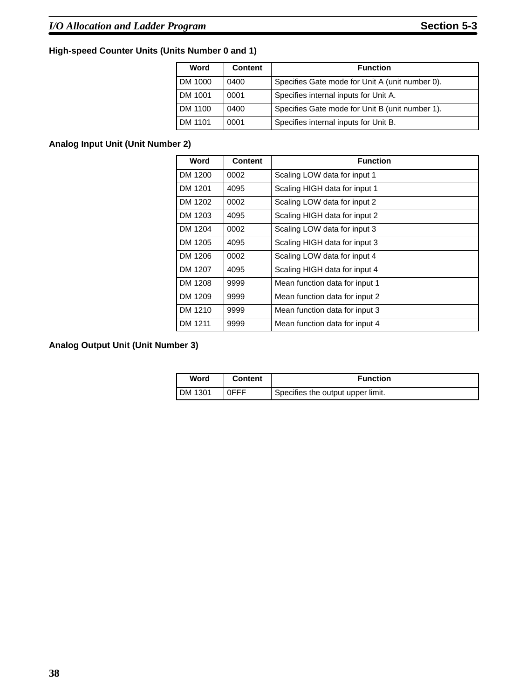### **High-speed Counter Units (Units Number 0 and 1)**

| Word    | <b>Content</b> | <b>Function</b>                                 |
|---------|----------------|-------------------------------------------------|
| DM 1000 | 0400           | Specifies Gate mode for Unit A (unit number 0). |
| DM 1001 | 0001           | Specifies internal inputs for Unit A.           |
| DM 1100 | 0400           | Specifies Gate mode for Unit B (unit number 1). |
| DM 1101 | 0001           | Specifies internal inputs for Unit B.           |

### **Analog Input Unit (Unit Number 2)**

| Word    | <b>Content</b> | <b>Function</b>                |
|---------|----------------|--------------------------------|
| DM 1200 | 0002           | Scaling LOW data for input 1   |
| DM 1201 | 4095           | Scaling HIGH data for input 1  |
| DM 1202 | 0002           | Scaling LOW data for input 2   |
| DM 1203 | 4095           | Scaling HIGH data for input 2  |
| DM 1204 | 0002           | Scaling LOW data for input 3   |
| DM 1205 | 4095           | Scaling HIGH data for input 3  |
| DM 1206 | 0002           | Scaling LOW data for input 4   |
| DM 1207 | 4095           | Scaling HIGH data for input 4  |
| DM 1208 | 9999           | Mean function data for input 1 |
| DM 1209 | 9999           | Mean function data for input 2 |
| DM 1210 | 9999           | Mean function data for input 3 |
| DM 1211 | 9999           | Mean function data for input 4 |

### **Analog Output Unit (Unit Number 3)**

| Word           | <b>Content</b> | <b>Function</b>                   |  |
|----------------|----------------|-----------------------------------|--|
| <b>DM 1301</b> | 0FFF           | Specifies the output upper limit. |  |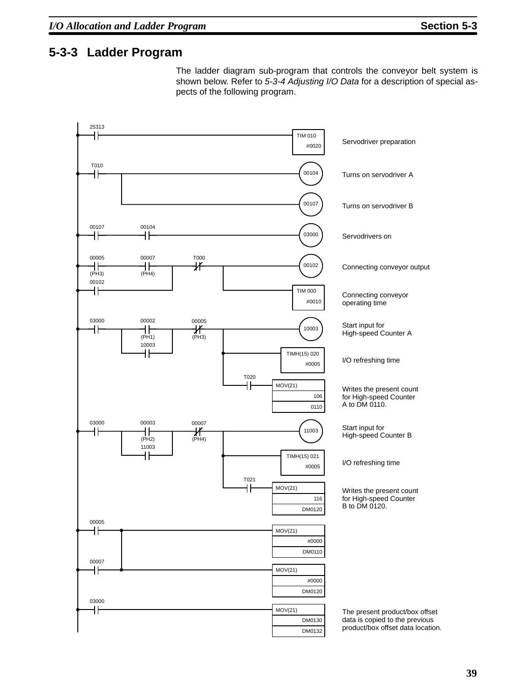### **5-3-3 Ladder Program**

The ladder diagram sub-program that controls the conveyor belt system is shown below. Refer to 5-3-4 Adjusting I/O Data for a description of special aspects of the following program.

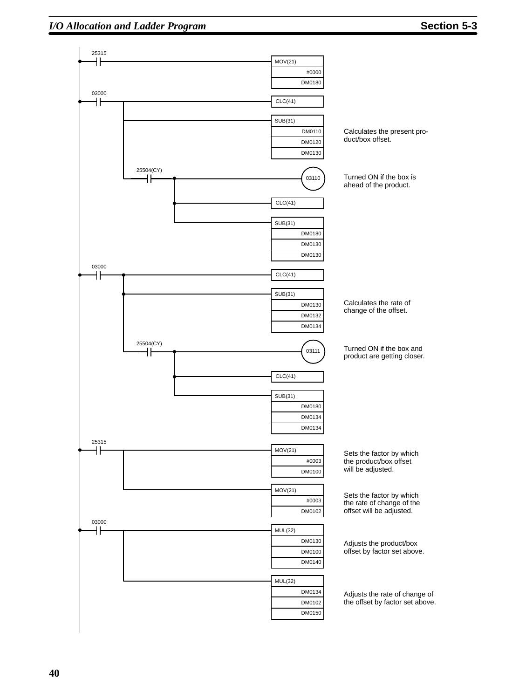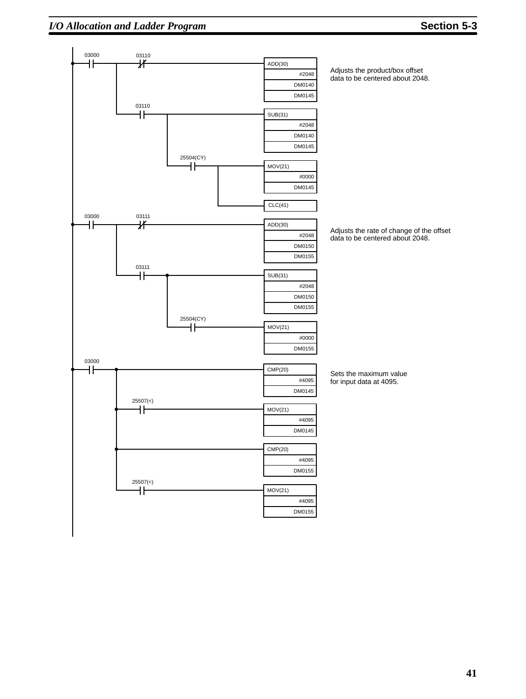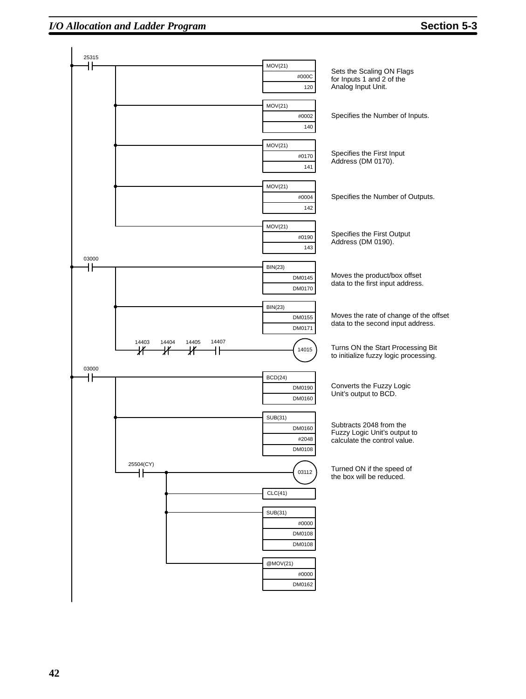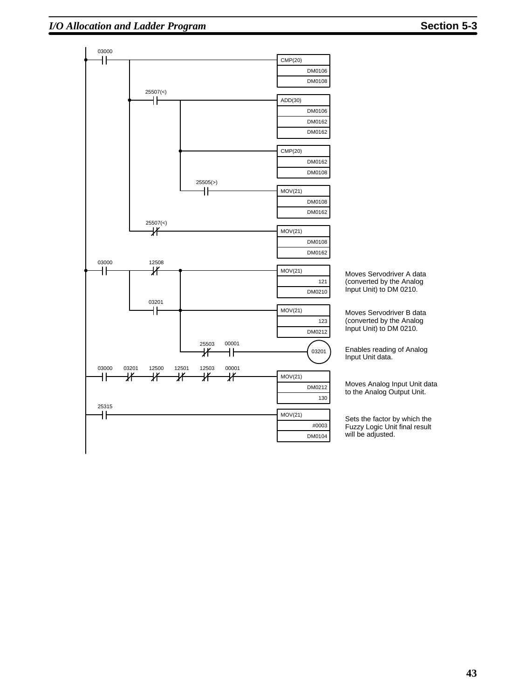

Enables reading of Analog

Moves Analog Input Unit data to the Analog Output Unit.

Sets the factor by which the Fuzzy Logic Unit final result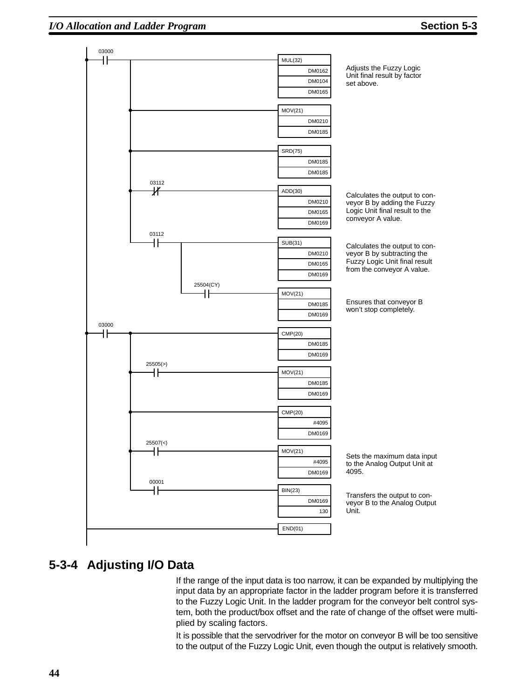

## **5-3-4 Adjusting I/O Data**

If the range of the input data is too narrow, it can be expanded by multiplying the input data by an appropriate factor in the ladder program before it is transferred to the Fuzzy Logic Unit. In the ladder program for the conveyor belt control system, both the product/box offset and the rate of change of the offset were multiplied by scaling factors.

It is possible that the servodriver for the motor on conveyor B will be too sensitive to the output of the Fuzzy Logic Unit, even though the output is relatively smooth.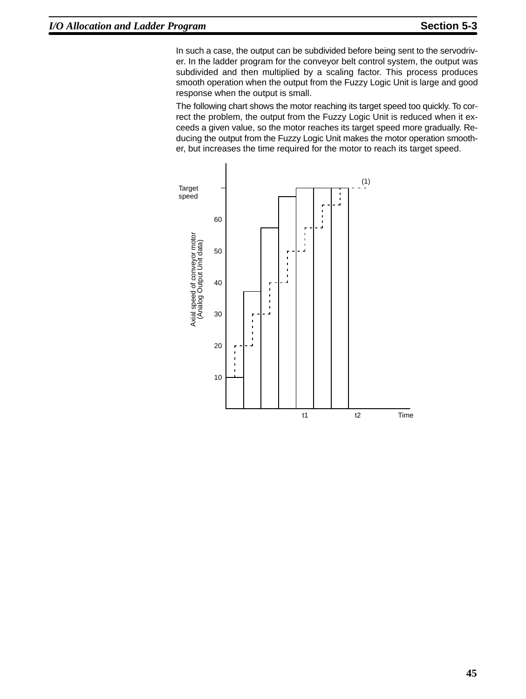In such a case, the output can be subdivided before being sent to the servodriver. In the ladder program for the conveyor belt control system, the output was subdivided and then multiplied by a scaling factor. This process produces smooth operation when the output from the Fuzzy Logic Unit is large and good response when the output is small.

The following chart shows the motor reaching its target speed too quickly. To correct the problem, the output from the Fuzzy Logic Unit is reduced when it exceeds a given value, so the motor reaches its target speed more gradually. Reducing the output from the Fuzzy Logic Unit makes the motor operation smoother, but increases the time required for the motor to reach its target speed.

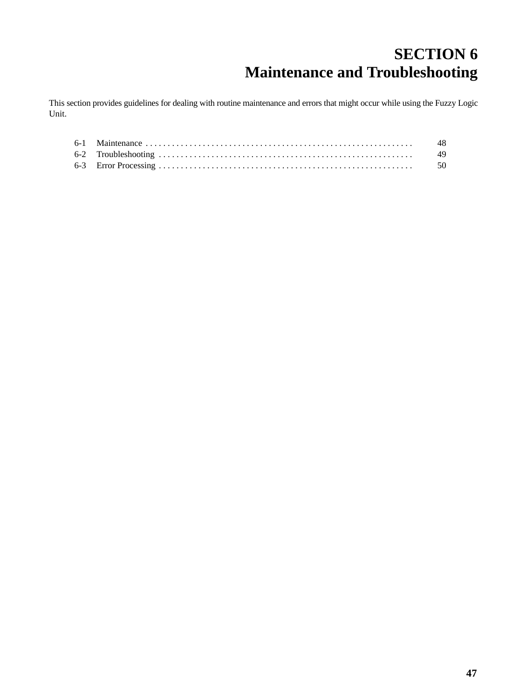# **SECTION 6 Maintenance and Troubleshooting**

This section provides guidelines for dealing with routine maintenance and errors that might occur while using the Fuzzy Logic Unit.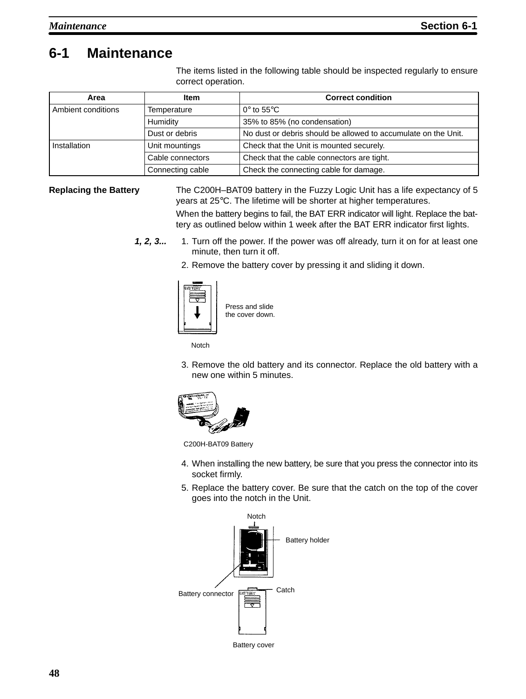## **6-1 Maintenance**

The items listed in the following table should be inspected regularly to ensure correct operation.

| Area                      | <b>Item</b>      | <b>Correct condition</b>                                       |
|---------------------------|------------------|----------------------------------------------------------------|
| <b>Ambient conditions</b> | Temperature      | $0^\circ$ to 55 $^\circ$ C                                     |
|                           | Humidity         | 35% to 85% (no condensation)                                   |
|                           | Dust or debris   | No dust or debris should be allowed to accumulate on the Unit. |
| Installation              | Unit mountings   | Check that the Unit is mounted securely.                       |
|                           | Cable connectors | Check that the cable connectors are tight.                     |
|                           | Connecting cable | Check the connecting cable for damage.                         |

**Replacing the Battery** The C200H–BAT09 battery in the Fuzzy Logic Unit has a life expectancy of 5 years at 25°C. The lifetime will be shorter at higher temperatures.

> When the battery begins to fail, the BAT ERR indicator will light. Replace the battery as outlined below within 1 week after the BAT ERR indicator first lights.

- **1, 2, 3...** 1. Turn off the power. If the power was off already, turn it on for at least one minute, then turn it off.
	- 2. Remove the battery cover by pressing it and sliding it down.



Press and slide the cover down.

Notch

3. Remove the old battery and its connector. Replace the old battery with a new one within 5 minutes.



C200H-BAT09 Battery

- 4. When installing the new battery, be sure that you press the connector into its socket firmly.
- 5. Replace the battery cover. Be sure that the catch on the top of the cover goes into the notch in the Unit.



Battery cover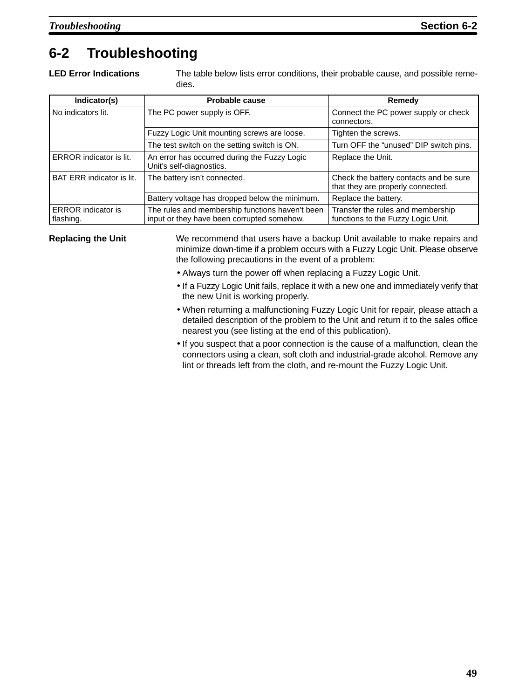# **6-2 Troubleshooting**

**LED Error Indications** The table below lists error conditions, their probable cause, and possible remedies.

| Indicator(s)                           | <b>Probable cause</b>                                                                         | Remedy                                                                      |
|----------------------------------------|-----------------------------------------------------------------------------------------------|-----------------------------------------------------------------------------|
| No indicators lit.                     | The PC power supply is OFF.                                                                   | Connect the PC power supply or check<br>connectors.                         |
|                                        | Fuzzy Logic Unit mounting screws are loose.                                                   | Tighten the screws.                                                         |
|                                        | The test switch on the setting switch is ON.                                                  | Turn OFF the "unused" DIP switch pins.                                      |
| <b>ERROR</b> indicator is lit.         | An error has occurred during the Fuzzy Logic<br>Unit's self-diagnostics.                      | Replace the Unit.                                                           |
| <b>BAT ERR indicator is lit.</b>       | The battery isn't connected.                                                                  | Check the battery contacts and be sure<br>that they are properly connected. |
|                                        | Battery voltage has dropped below the minimum.                                                | Replace the battery.                                                        |
| <b>ERROR</b> indicator is<br>flashing. | The rules and membership functions haven't been<br>input or they have been corrupted somehow. | Transfer the rules and membership<br>functions to the Fuzzy Logic Unit.     |

**Replacing the Unit** We recommend that users have a backup Unit available to make repairs and minimize down-time if a problem occurs with a Fuzzy Logic Unit. Please observe the following precautions in the event of a problem:

- Always turn the power off when replacing a Fuzzy Logic Unit.
- If a Fuzzy Logic Unit fails, replace it with a new one and immediately verify that the new Unit is working properly.
- When returning a malfunctioning Fuzzy Logic Unit for repair, please attach a detailed description of the problem to the Unit and return it to the sales office nearest you (see listing at the end of this publication).
- If you suspect that a poor connection is the cause of a malfunction, clean the connectors using a clean, soft cloth and industrial-grade alcohol. Remove any lint or threads left from the cloth, and re-mount the Fuzzy Logic Unit.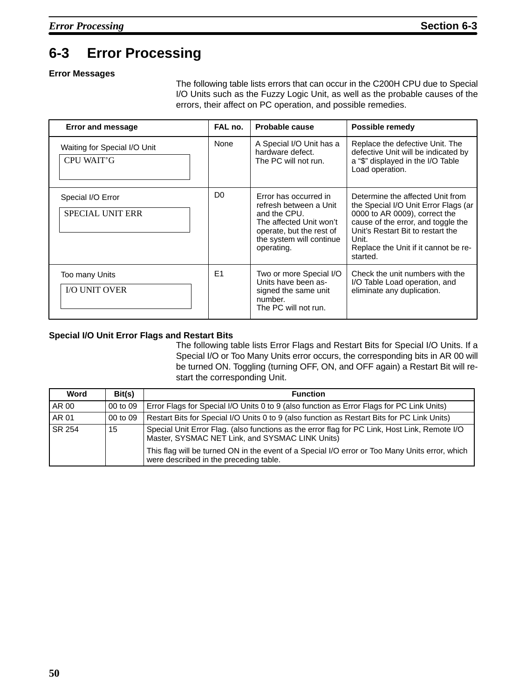# **6-3 Error Processing**

#### **Error Messages**

The following table lists errors that can occur in the C200H CPU due to Special I/O Units such as the Fuzzy Logic Unit, as well as the probable causes of the errors, their affect on PC operation, and possible remedies.

| <b>Error and message</b>                          | FAL no.        | Probable cause                                                                                                                                                   | Possible remedy                                                                                                                                                                                                                                   |
|---------------------------------------------------|----------------|------------------------------------------------------------------------------------------------------------------------------------------------------------------|---------------------------------------------------------------------------------------------------------------------------------------------------------------------------------------------------------------------------------------------------|
| Waiting for Special I/O Unit<br><b>CPU WAIT'G</b> | None           | A Special I/O Unit has a<br>hardware defect.<br>The PC will not run.                                                                                             | Replace the defective Unit. The<br>defective Unit will be indicated by<br>a "\$" displayed in the I/O Table<br>Load operation.                                                                                                                    |
| Special I/O Error<br><b>SPECIAL UNIT ERR</b>      | D <sub>0</sub> | Error has occurred in<br>refresh between a Unit<br>and the CPU.<br>The affected Unit won't<br>operate, but the rest of<br>the system will continue<br>operating. | Determine the affected Unit from<br>the Special I/O Unit Error Flags (ar<br>0000 to AR 0009), correct the<br>cause of the error, and toggle the<br>Unit's Restart Bit to restart the<br>Unit.<br>Replace the Unit if it cannot be re-<br>started. |
| Too many Units<br><b>I/O UNIT OVER</b>            | E <sub>1</sub> | Two or more Special I/O<br>Units have been as-<br>signed the same unit<br>number.<br>The PC will not run.                                                        | Check the unit numbers with the<br>I/O Table Load operation, and<br>eliminate any duplication.                                                                                                                                                    |

#### **Special I/O Unit Error Flags and Restart Bits**

The following table lists Error Flags and Restart Bits for Special I/O Units. If a Special I/O or Too Many Units error occurs, the corresponding bits in AR 00 will be turned ON. Toggling (turning OFF, ON, and OFF again) a Restart Bit will restart the corresponding Unit.

| Word          | Bit(s)   | <b>Function</b>                                                                                                                                  |  |
|---------------|----------|--------------------------------------------------------------------------------------------------------------------------------------------------|--|
| AR 00         | 00 to 09 | Error Flags for Special I/O Units 0 to 9 (also function as Error Flags for PC Link Units)                                                        |  |
| AR 01         | 00 to 09 | Restart Bits for Special I/O Units 0 to 9 (also function as Restart Bits for PC Link Units)                                                      |  |
| <b>SR 254</b> | 15       | Special Unit Error Flag. (also functions as the error flag for PC Link, Host Link, Remote I/O<br>Master, SYSMAC NET Link, and SYSMAC LINK Units) |  |
|               |          | This flag will be turned ON in the event of a Special I/O error or Too Many Units error, which<br>were described in the preceding table.         |  |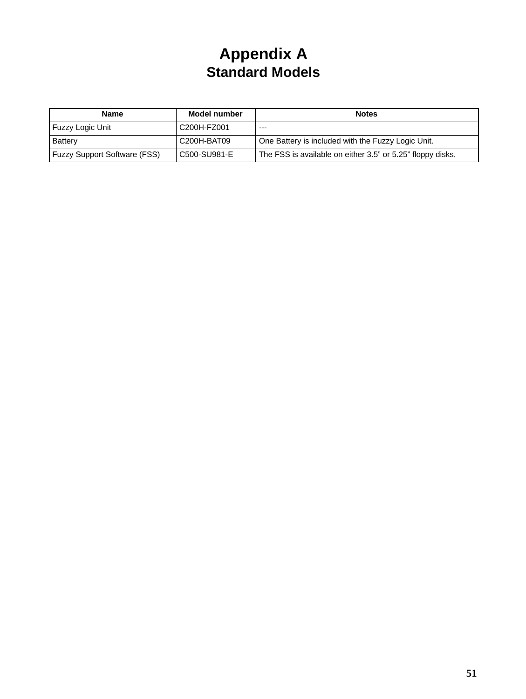# **Appendix A Standard Models**

| <b>Name</b>                         | Model number                         | <b>Notes</b>                                               |
|-------------------------------------|--------------------------------------|------------------------------------------------------------|
| Fuzzy Logic Unit                    | C <sub>200</sub> H-F <sub>Z001</sub> | $- - -$                                                    |
| Battery                             | C200H-BAT09                          | One Battery is included with the Fuzzy Logic Unit.         |
| <b>Fuzzy Support Software (FSS)</b> | C500-SU981-E                         | The FSS is available on either 3.5" or 5.25" floppy disks. |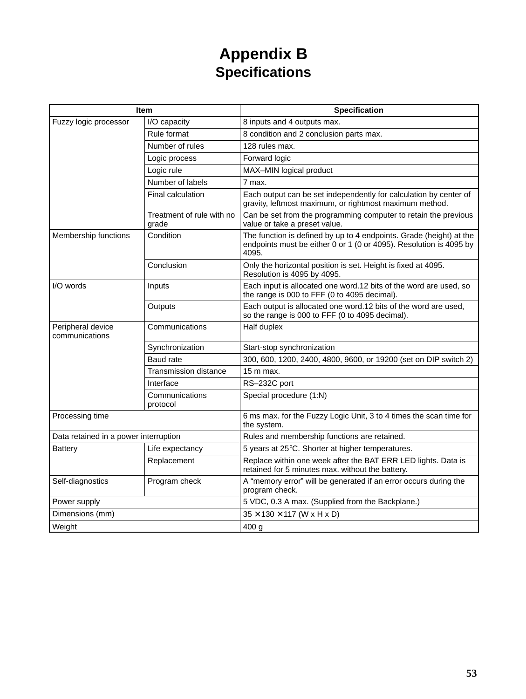# **Appendix B Specifications**

| <b>Item</b>                           |                                    | <b>Specification</b>                                                                                                                               |
|---------------------------------------|------------------------------------|----------------------------------------------------------------------------------------------------------------------------------------------------|
| Fuzzy logic processor                 | I/O capacity                       | 8 inputs and 4 outputs max.                                                                                                                        |
|                                       | Rule format                        | 8 condition and 2 conclusion parts max.                                                                                                            |
|                                       | Number of rules                    | 128 rules max.                                                                                                                                     |
|                                       | Logic process                      | Forward logic                                                                                                                                      |
|                                       | Logic rule                         | MAX-MIN logical product                                                                                                                            |
|                                       | Number of labels                   | 7 max.                                                                                                                                             |
|                                       | <b>Final calculation</b>           | Each output can be set independently for calculation by center of<br>gravity, leftmost maximum, or rightmost maximum method.                       |
|                                       | Treatment of rule with no<br>grade | Can be set from the programming computer to retain the previous<br>value or take a preset value.                                                   |
| Membership functions                  | Condition                          | The function is defined by up to 4 endpoints. Grade (height) at the<br>endpoints must be either 0 or 1 (0 or 4095). Resolution is 4095 by<br>4095. |
|                                       | Conclusion                         | Only the horizontal position is set. Height is fixed at 4095.<br>Resolution is 4095 by 4095.                                                       |
| I/O words                             | Inputs                             | Each input is allocated one word.12 bits of the word are used, so<br>the range is 000 to FFF (0 to 4095 decimal).                                  |
|                                       | Outputs                            | Each output is allocated one word.12 bits of the word are used,<br>so the range is 000 to FFF (0 to 4095 decimal).                                 |
| Peripheral device<br>communications   | Communications                     | Half duplex                                                                                                                                        |
|                                       | Synchronization                    | Start-stop synchronization                                                                                                                         |
|                                       | Baud rate                          | 300, 600, 1200, 2400, 4800, 9600, or 19200 (set on DIP switch 2)                                                                                   |
|                                       | Transmission distance              | 15 m max.                                                                                                                                          |
|                                       | Interface                          | RS-232C port                                                                                                                                       |
|                                       | Communications<br>protocol         | Special procedure (1:N)                                                                                                                            |
| Processing time                       |                                    | 6 ms max. for the Fuzzy Logic Unit, 3 to 4 times the scan time for<br>the system.                                                                  |
| Data retained in a power interruption |                                    | Rules and membership functions are retained.                                                                                                       |
| <b>Battery</b>                        | Life expectancy                    | 5 years at 25°C. Shorter at higher temperatures.                                                                                                   |
|                                       | Replacement                        | Replace within one week after the BAT ERR LED lights. Data is<br>retained for 5 minutes max. without the battery.                                  |
| Self-diagnostics                      | Program check                      | A "memory error" will be generated if an error occurs during the<br>program check.                                                                 |
| Power supply                          |                                    | 5 VDC, 0.3 A max. (Supplied from the Backplane.)                                                                                                   |
| Dimensions (mm)                       |                                    | $35 \times 130 \times 117$ (W x H x D)                                                                                                             |
| Weight                                |                                    | 400 <sub>g</sub>                                                                                                                                   |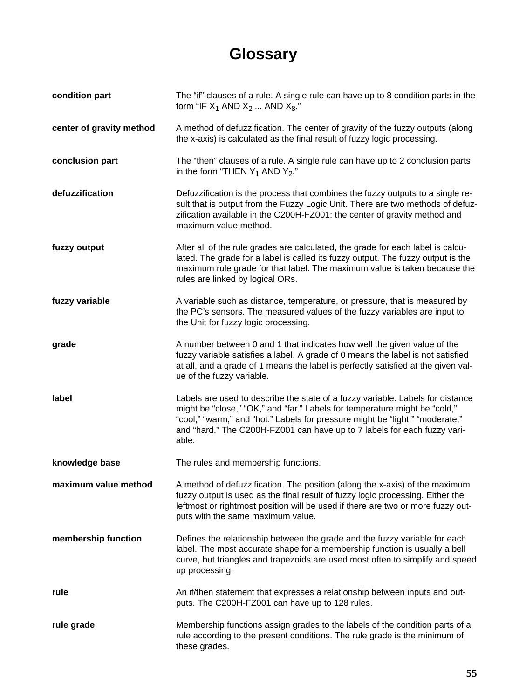# **Glossary**

| condition part           | The "if" clauses of a rule. A single rule can have up to 8 condition parts in the<br>form "IF $X_1$ AND $X_2$ AND $X_8$ ."                                                                                                                                                                                                        |  |
|--------------------------|-----------------------------------------------------------------------------------------------------------------------------------------------------------------------------------------------------------------------------------------------------------------------------------------------------------------------------------|--|
| center of gravity method | A method of defuzzification. The center of gravity of the fuzzy outputs (along<br>the x-axis) is calculated as the final result of fuzzy logic processing.                                                                                                                                                                        |  |
| conclusion part          | The "then" clauses of a rule. A single rule can have up to 2 conclusion parts<br>in the form "THEN $Y_1$ AND $Y_2$ ."                                                                                                                                                                                                             |  |
| defuzzification          | Defuzzification is the process that combines the fuzzy outputs to a single re-<br>sult that is output from the Fuzzy Logic Unit. There are two methods of defuz-<br>zification available in the C200H-FZ001: the center of gravity method and<br>maximum value method.                                                            |  |
| fuzzy output             | After all of the rule grades are calculated, the grade for each label is calcu-<br>lated. The grade for a label is called its fuzzy output. The fuzzy output is the<br>maximum rule grade for that label. The maximum value is taken because the<br>rules are linked by logical ORs.                                              |  |
| fuzzy variable           | A variable such as distance, temperature, or pressure, that is measured by<br>the PC's sensors. The measured values of the fuzzy variables are input to<br>the Unit for fuzzy logic processing.                                                                                                                                   |  |
| grade                    | A number between 0 and 1 that indicates how well the given value of the<br>fuzzy variable satisfies a label. A grade of 0 means the label is not satisfied<br>at all, and a grade of 1 means the label is perfectly satisfied at the given val-<br>ue of the fuzzy variable.                                                      |  |
| label                    | Labels are used to describe the state of a fuzzy variable. Labels for distance<br>might be "close," "OK," and "far." Labels for temperature might be "cold,"<br>"cool," "warm," and "hot." Labels for pressure might be "light," "moderate,"<br>and "hard." The C200H-FZ001 can have up to 7 labels for each fuzzy vari-<br>able. |  |
| knowledge base           | The rules and membership functions.                                                                                                                                                                                                                                                                                               |  |
| maximum value method     | A method of defuzzification. The position (along the x-axis) of the maximum<br>fuzzy output is used as the final result of fuzzy logic processing. Either the<br>leftmost or rightmost position will be used if there are two or more fuzzy out-<br>puts with the same maximum value.                                             |  |
| membership function      | Defines the relationship between the grade and the fuzzy variable for each<br>label. The most accurate shape for a membership function is usually a bell<br>curve, but triangles and trapezoids are used most often to simplify and speed<br>up processing.                                                                       |  |
| rule                     | An if/then statement that expresses a relationship between inputs and out-<br>puts. The C200H-FZ001 can have up to 128 rules.                                                                                                                                                                                                     |  |
| rule grade               | Membership functions assign grades to the labels of the condition parts of a<br>rule according to the present conditions. The rule grade is the minimum of<br>these grades.                                                                                                                                                       |  |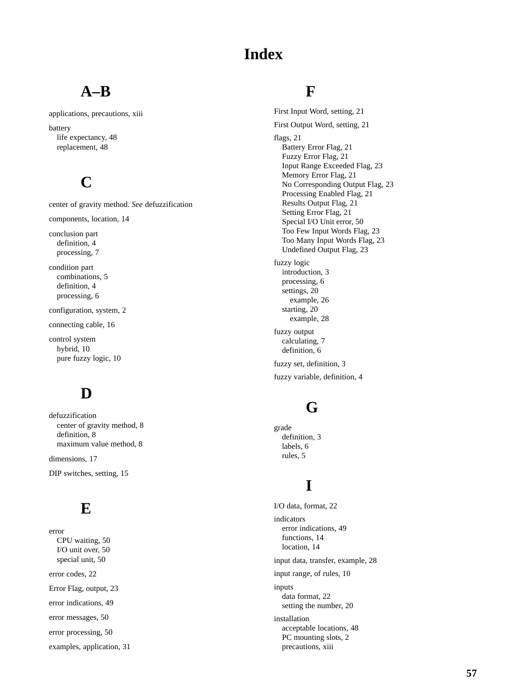## **Index**

# **A–B**

applications, precautions, xiii

battery life expectancy, 48 replacement, 48

# **C**

center of gravity method. *See* defuzzification components, location, 14 conclusion part definition, 4 processing, 7 condition part combinations, 5 definition, 4 processing, 6 configuration, system, 2 connecting cable, 16 control system hybrid, 10 pure fuzzy logic, 10

# **D**

defuzzification center of gravity method, 8 definition, 8 maximum value method, 8

dimensions, 17

DIP switches, setting, 15

# **E**

error CPU waiting, 50 I/O unit over, 50 special unit, 50 error codes, 22 Error Flag, output, 23 error indications, 49 error messages, 50 error processing, 50 examples, application, 31

## **F**

First Input Word, setting, 21 First Output Word, setting, 21 flags, 21 Battery Error Flag, 21 Fuzzy Error Flag, 21 Input Range Exceeded Flag, 23 Memory Error Flag, 21 No Corresponding Output Flag, 23 Processing Enabled Flag, 21 Results Output Flag, 21 Setting Error Flag, 21 Special I/O Unit error, 50 Too Few Input Words Flag, 23 Too Many Input Words Flag, 23 Undefined Output Flag, 23 fuzzy logic introduction, 3 processing, 6 settings, 20 example, 26 starting, 20 example, 28 fuzzy output calculating, 7 definition, 6 fuzzy set, definition, 3 fuzzy variable, definition, 4

## **G**

grade definition, 3 labels, 6 rules, 5

# **I**

I/O data, format, 22 indicators error indications, 49 functions, 14 location, 14 input data, transfer, example, 28 input range, of rules, 10 inputs data format, 22 setting the number, 20 installation acceptable locations, 48 PC mounting slots, 2 precautions, xiii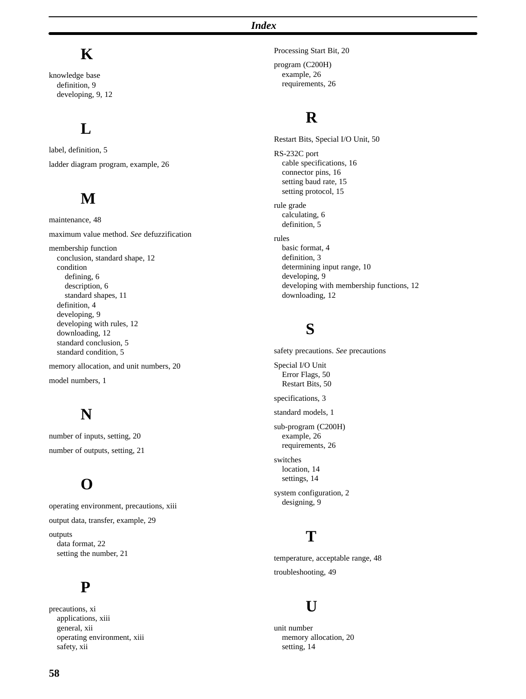# **K**

knowledge base definition, 9 developing, 9, 12

# **L**

label, definition, 5 ladder diagram program, example, 26

# **M**

maintenance, 48 maximum value method. *See* defuzzification membership function conclusion, standard shape, 12 condition defining, 6 description, 6 standard shapes, 11 definition, 4 developing, 9 developing with rules, 12 downloading, 12 standard conclusion, 5 standard condition, 5 memory allocation, and unit numbers, 20 model numbers, 1

# **N**

number of inputs, setting, 20 number of outputs, setting, 21

# **O**

operating environment, precautions, xiii output data, transfer, example, 29 outputs data format, 22

setting the number, 21

## **P**

precautions, xi applications, xiii general, xii operating environment, xiii safety, xii

#### *Index*

Processing Start Bit, 20

program (C200H) example, 26 requirements, 26

### **R**

Restart Bits, Special I/O Unit, 50 RS-232C port cable specifications, 16 connector pins, 16 setting baud rate, 15 setting protocol, 15 rule grade calculating, 6 definition, 5 rules basic format, 4 definition, 3 determining input range, 10 developing, 9 developing with membership functions, 12 downloading, 12

## **S**

safety precautions. *See* precautions Special I/O Unit Error Flags, 50 Restart Bits, 50

specifications, 3

standard models, 1

sub-program (C200H) example, 26 requirements, 26

switches location, 14 settings, 14

system configuration, 2 designing, 9

## **T**

temperature, acceptable range, 48 troubleshooting, 49

## **U**

unit number memory allocation, 20 setting, 14